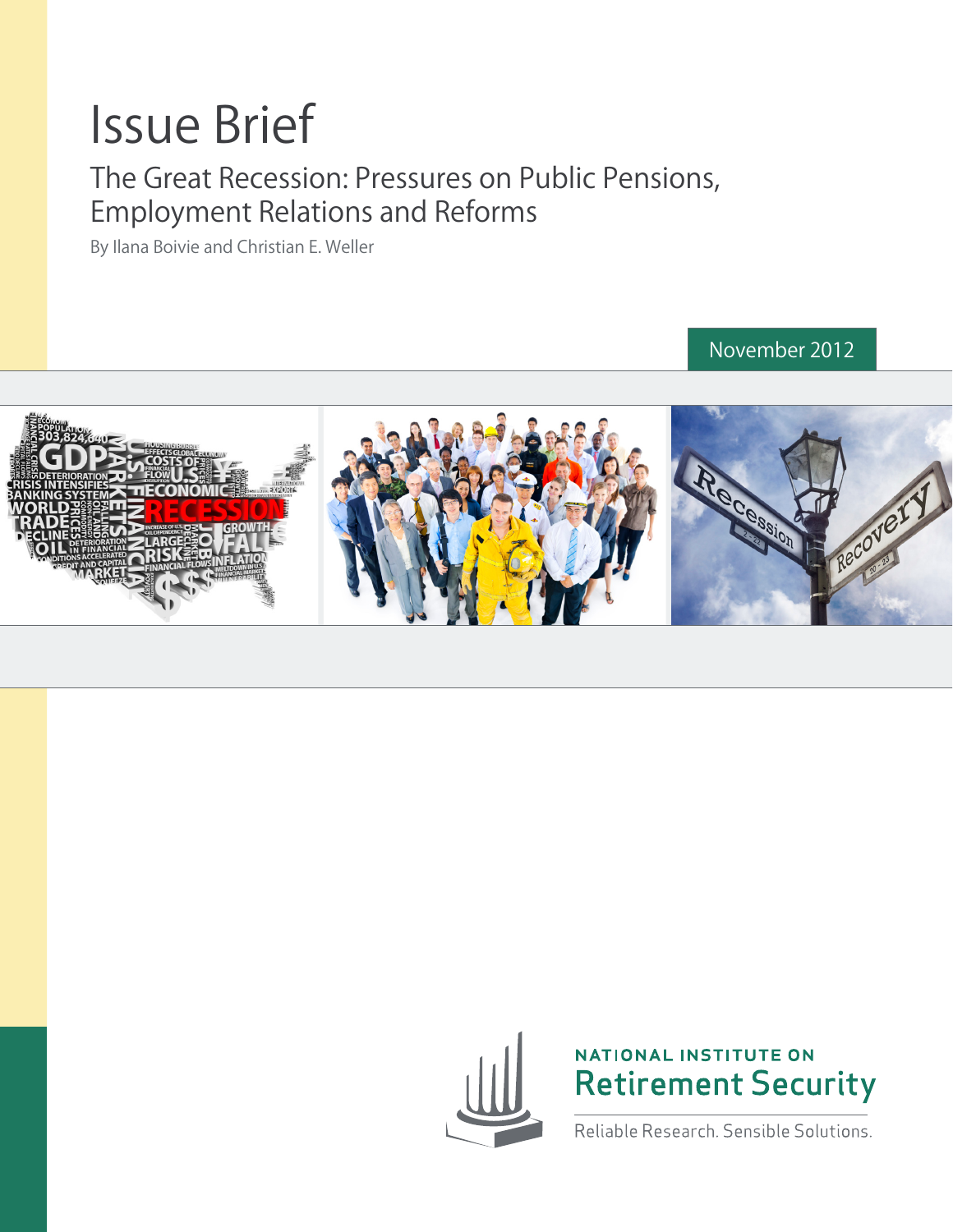## Issue Brief

### The Great Recession: Pressures on Public Pensions, Employment Relations and Reforms

By Ilana Boivie and Christian E. Weller

November 2012







Reliable Research, Sensible Solutions.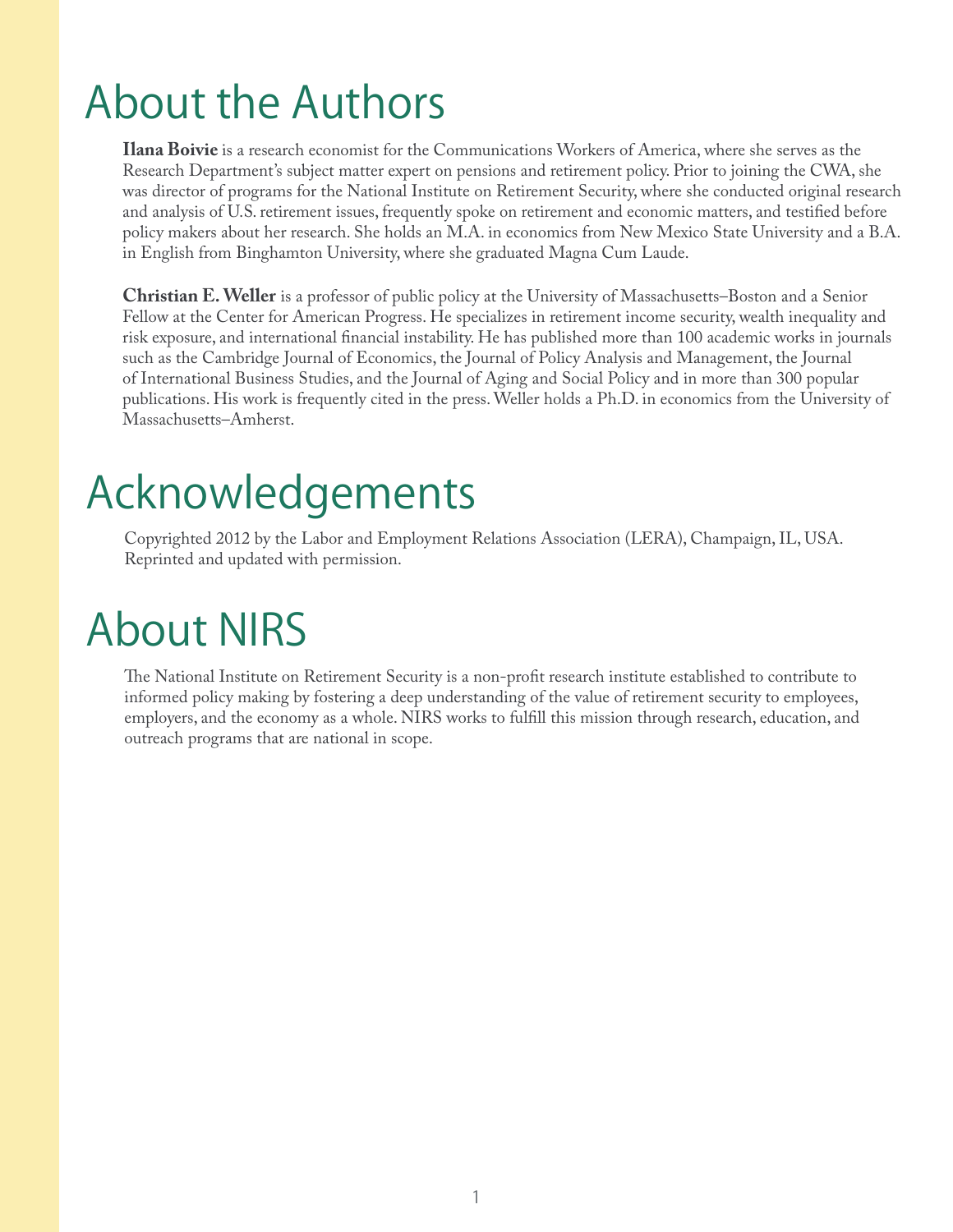## About the Authors

**Ilana Boivie** is a research economist for the Communications Workers of America, where she serves as the Research Department's subject matter expert on pensions and retirement policy. Prior to joining the CWA, she was director of programs for the National Institute on Retirement Security, where she conducted original research and analysis of U.S. retirement issues, frequently spoke on retirement and economic matters, and testified before policy makers about her research. She holds an M.A. in economics from New Mexico State University and a B.A. in English from Binghamton University, where she graduated Magna Cum Laude.

**Christian E. Weller** is a professor of public policy at the University of Massachusetts–Boston and a Senior Fellow at the Center for American Progress. He specializes in retirement income security, wealth inequality and risk exposure, and international financial instability. He has published more than 100 academic works in journals such as the Cambridge Journal of Economics, the Journal of Policy Analysis and Management, the Journal of International Business Studies, and the Journal of Aging and Social Policy and in more than 300 popular publications. His work is frequently cited in the press. Weller holds a Ph.D. in economics from the University of Massachusetts–Amherst.

### Acknowledgements

Copyrighted 2012 by the Labor and Employment Relations Association (LERA), Champaign, IL, USA. Reprinted and updated with permission.

### About NIRS

The National Institute on Retirement Security is a non-profit research institute established to contribute to informed policy making by fostering a deep understanding of the value of retirement security to employees, employers, and the economy as a whole. NIRS works to fulfill this mission through research, education, and outreach programs that are national in scope.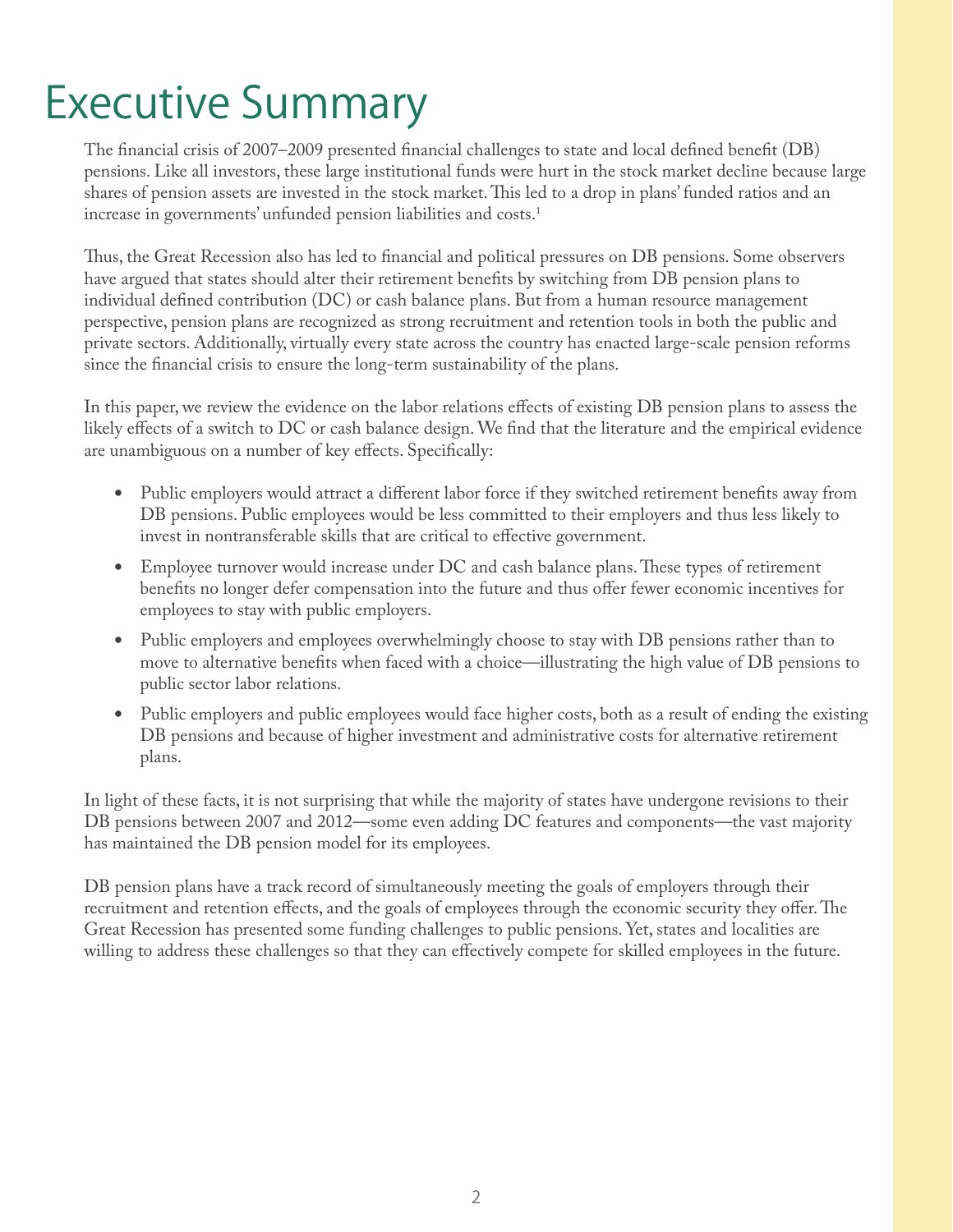## Executive Summary

The financial crisis of 2007–2009 presented financial challenges to state and local defined benefit (DB) pensions. Like all investors, these large institutional funds were hurt in the stock market decline because large shares of pension assets are invested in the stock market. This led to a drop in plans' funded ratios and an increase in governments' unfunded pension liabilities and costs.<sup>1</sup>

Thus, the Great Recession also has led to financial and political pressures on DB pensions. Some observers have argued that states should alter their retirement benefits by switching from DB pension plans to individual defined contribution  $(DC)$  or cash balance plans. But from a human resource management perspective, pension plans are recognized as strong recruitment and retention tools in both the public and private sectors. Additionally, virtually every state across the country has enacted large-scale pension reforms since the financial crisis to ensure the long-term sustainability of the plans.

In this paper, we review the evidence on the labor relations effects of existing DB pension plans to assess the likely effects of a switch to DC or cash balance design. We find that the literature and the empirical evidence are unambiguous on a number of key effects. Specifically:

- Public employers would attract a different labor force if they switched retirement benefits away from DB pensions. Public employees would be less committed to their employers and thus less likely to invest in nontransferable skills that are critical to effective government.
- Employee turnover would increase under DC and cash balance plans. These types of retirement benefits no longer defer compensation into the future and thus offer fewer economic incentives for employees to stay with public employers.
- Public employers and employees overwhelmingly choose to stay with DB pensions rather than to move to alternative benefits when faced with a choice—illustrating the high value of DB pensions to public sector labor relations.
- Public employers and public employees would face higher costs, both as a result of ending the existing DB pensions and because of higher investment and administrative costs for alternative retirement plans.

In light of these facts, it is not surprising that while the majority of states have undergone revisions to their DB pensions between 2007 and 2012—some even adding DC features and components—the vast majority has maintained the DB pension model for its employees.

DB pension plans have a track record of simultaneously meeting the goals of employers through their recruitment and retention effects, and the goals of employees through the economic security they offer. The Great Recession has presented some funding challenges to public pensions. Yet, states and localities are willing to address these challenges so that they can effectively compete for skilled employees in the future.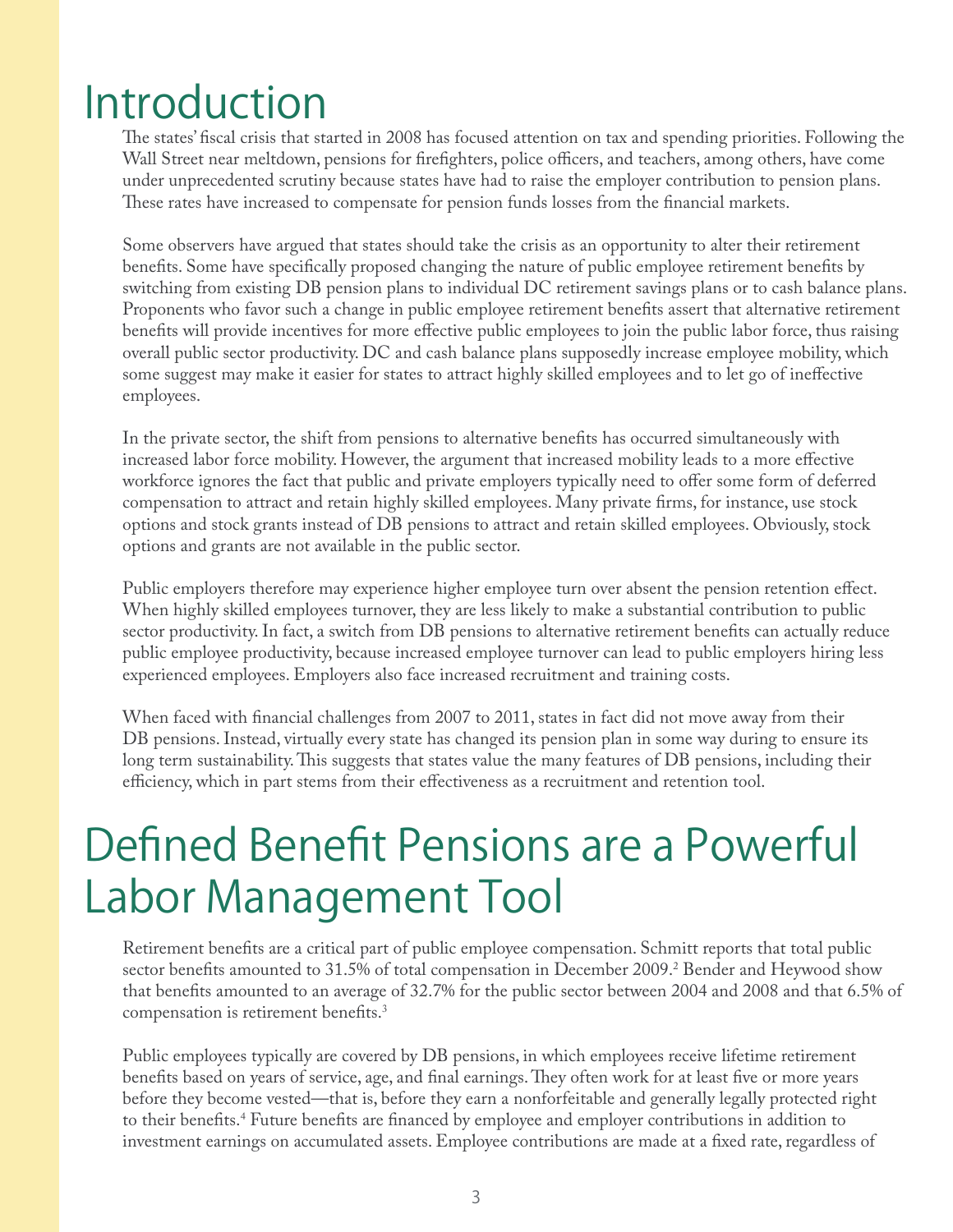### Introduction

The states' fiscal crisis that started in 2008 has focused attention on tax and spending priorities. Following the Wall Street near meltdown, pensions for firefighters, police officers, and teachers, among others, have come under unprecedented scrutiny because states have had to raise the employer contribution to pension plans. These rates have increased to compensate for pension funds losses from the financial markets.

Some observers have argued that states should take the crisis as an opportunity to alter their retirement benefits. Some have specifically proposed changing the nature of public employee retirement benefits by switching from existing DB pension plans to individual DC retirement savings plans or to cash balance plans. Proponents who favor such a change in public employee retirement benefits assert that alternative retirement benefits will provide incentives for more effective public employees to join the public labor force, thus raising overall public sector productivity. DC and cash balance plans supposedly increase employee mobility, which some suggest may make it easier for states to attract highly skilled employees and to let go of ineffective employees.

In the private sector, the shift from pensions to alternative benefits has occurred simultaneously with increased labor force mobility. However, the argument that increased mobility leads to a more effective workforce ignores the fact that public and private employers typically need to offer some form of deferred compensation to attract and retain highly skilled employees. Many private firms, for instance, use stock options and stock grants instead of DB pensions to attract and retain skilled employees. Obviously, stock options and grants are not available in the public sector.

Public employers therefore may experience higher employee turn over absent the pension retention effect. When highly skilled employees turnover, they are less likely to make a substantial contribution to public sector productivity. In fact, a switch from DB pensions to alternative retirement benefits can actually reduce public employee productivity, because increased employee turnover can lead to public employers hiring less experienced employees. Employers also face increased recruitment and training costs.

When faced with financial challenges from 2007 to 2011, states in fact did not move away from their DB pensions. Instead, virtually every state has changed its pension plan in some way during to ensure its long term sustainability. This suggests that states value the many features of DB pensions, including their efficiency, which in part stems from their effectiveness as a recruitment and retention tool.

### Defined Benefit Pensions are a Powerful Labor Management Tool

Retirement benefits are a critical part of public employee compensation. Schmitt reports that total public sector benefits amounted to 31.5% of total compensation in December 2009.<sup>2</sup> Bender and Heywood show that benefits amounted to an average of 32.7% for the public sector between 2004 and 2008 and that 6.5% of compensation is retirement benefits.<sup>3</sup>

Public employees typically are covered by DB pensions, in which employees receive lifetime retirement benefits based on years of service, age, and final earnings. They often work for at least five or more years before they become vested—that is, before they earn a nonforfeitable and generally legally protected right to their benefits.<sup>4</sup> Future benefits are financed by employee and employer contributions in addition to investment earnings on accumulated assets. Employee contributions are made at a fixed rate, regardless of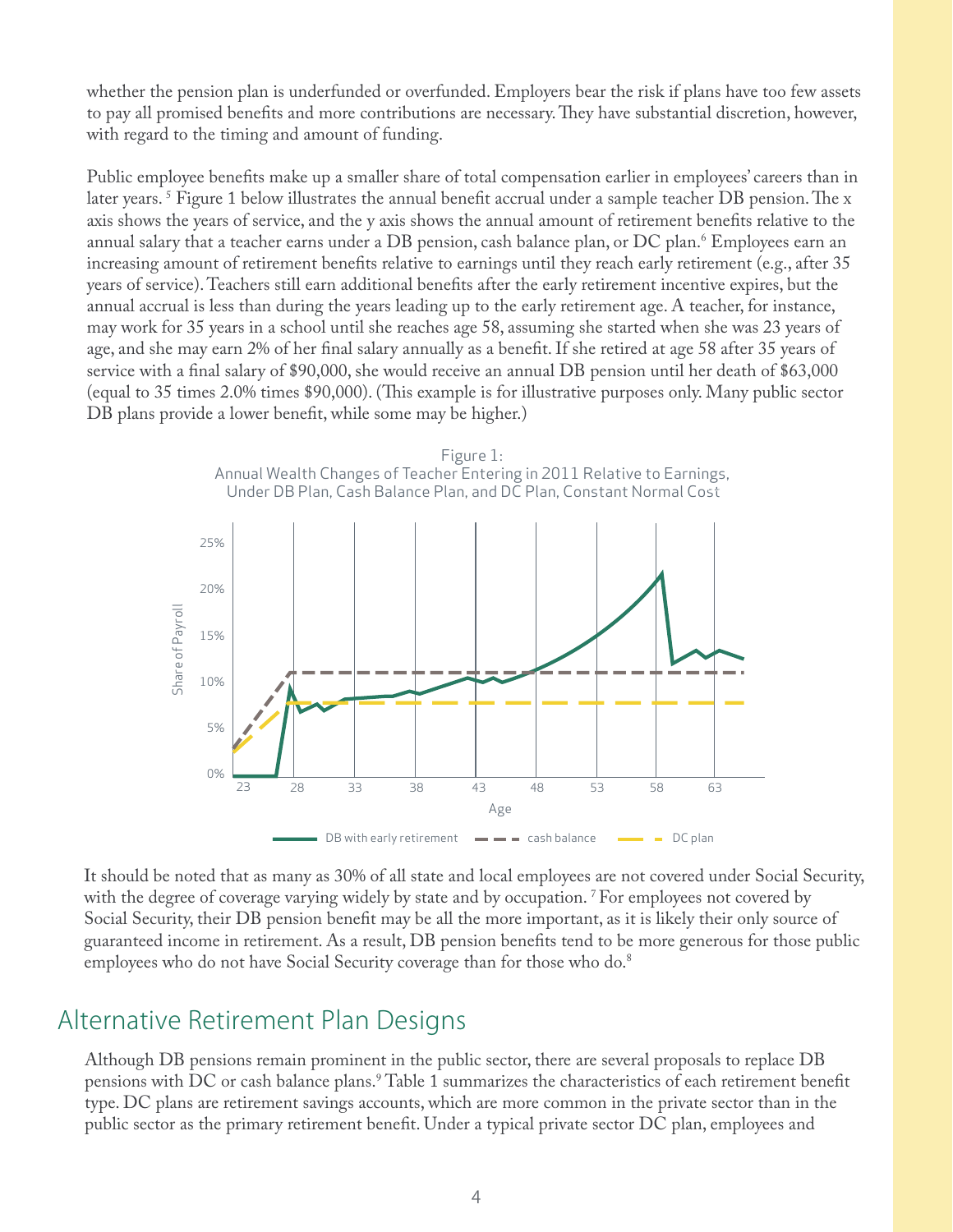whether the pension plan is underfunded or overfunded. Employers bear the risk if plans have too few assets to pay all promised benefits and more contributions are necessary. They have substantial discretion, however, with regard to the timing and amount of funding.

Public employee benefits make up a smaller share of total compensation earlier in employees' careers than in later years. <sup>5</sup> Figure 1 below illustrates the annual benefit accrual under a sample teacher DB pension. The x axis shows the years of service, and the y axis shows the annual amount of retirement benefits relative to the annual salary that a teacher earns under a DB pension, cash balance plan, or DC plan.6 Employees earn an increasing amount of retirement benefits relative to earnings until they reach early retirement (e.g., after 35 years of service). Teachers still earn additional benefits after the early retirement incentive expires, but the annual accrual is less than during the years leading up to the early retirement age. A teacher, for instance, may work for 35 years in a school until she reaches age 58, assuming she started when she was 23 years of age, and she may earn 2% of her final salary annually as a benefit. If she retired at age 58 after 35 years of service with a final salary of \$90,000, she would receive an annual DB pension until her death of \$63,000 (equal to 35 times 2.0% times \$90,000). (This example is for illustrative purposes only. Many public sector DB plans provide a lower benefit, while some may be higher.)



It should be noted that as many as 30% of all state and local employees are not covered under Social Security, with the degree of coverage varying widely by state and by occupation. <sup>7</sup> For employees not covered by Social Security, their DB pension benefit may be all the more important, as it is likely their only source of guaranteed income in retirement. As a result, DB pension benefits tend to be more generous for those public employees who do not have Social Security coverage than for those who do.<sup>8</sup>

#### Alternative Retirement Plan Designs

Although DB pensions remain prominent in the public sector, there are several proposals to replace DB pensions with DC or cash balance plans.<sup>9</sup> Table 1 summarizes the characteristics of each retirement benefit type. DC plans are retirement savings accounts, which are more common in the private sector than in the public sector as the primary retirement benefit. Under a typical private sector DC plan, employees and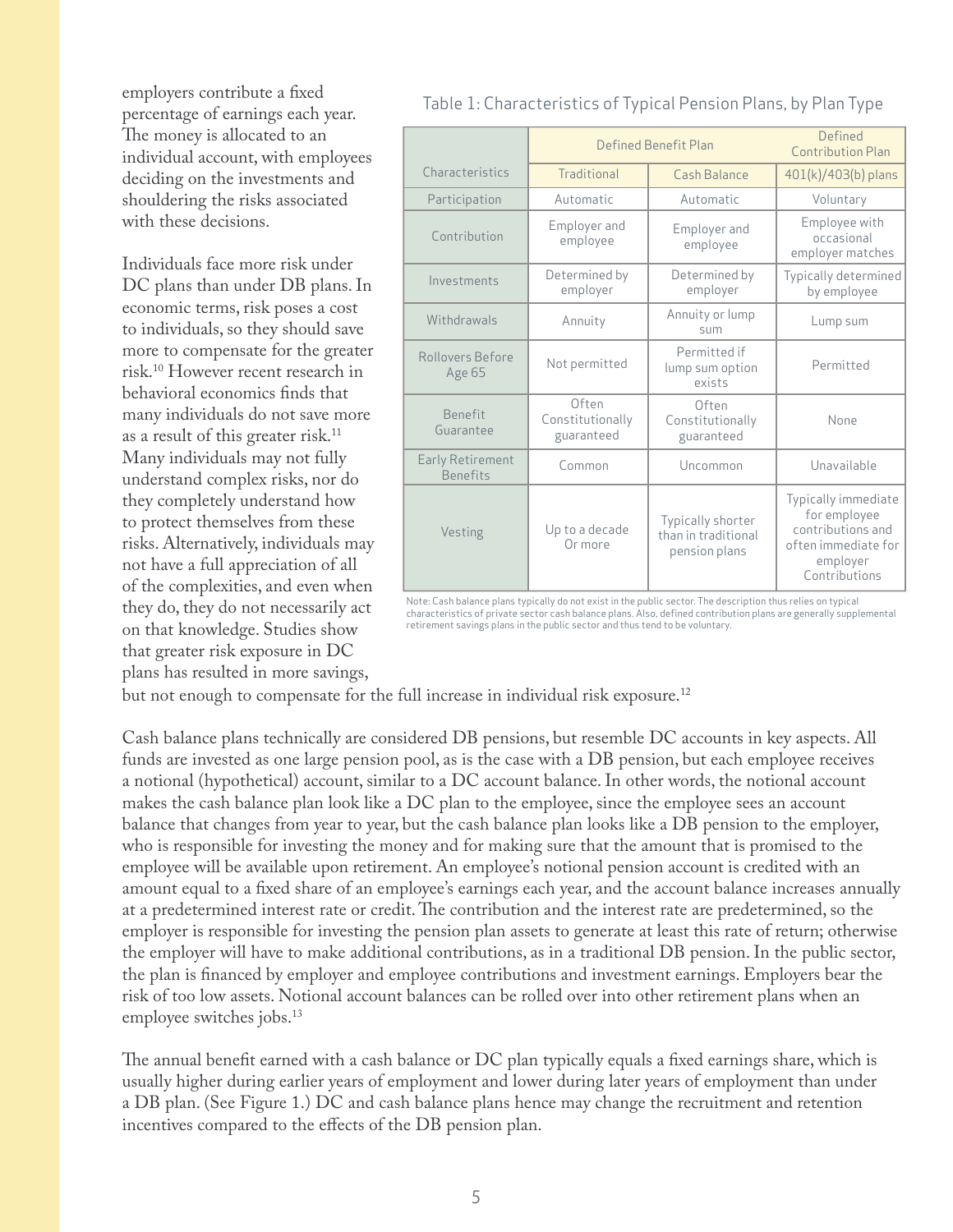employers contribute a fixed percentage of earnings each year. The money is allocated to an individual account, with employees deciding on the investments and shouldering the risks associated with these decisions.

Individuals face more risk under DC plans than under DB plans. In economic terms, risk poses a cost to individuals, so they should save more to compensate for the greater risk.10 However recent research in behavioral economics finds that many individuals do not save more as a result of this greater risk.<sup>11</sup> Many individuals may not fully understand complex risks, nor do they completely understand how to protect themselves from these risks. Alternatively, individuals may not have a full appreciation of all of the complexities, and even when they do, they do not necessarily act on that knowledge. Studies show that greater risk exposure in DC plans has resulted in more savings,

|                                     | Defined Benefit Plan                    |                                                           | Defined<br>Contribution Plan                                                                                 |
|-------------------------------------|-----------------------------------------|-----------------------------------------------------------|--------------------------------------------------------------------------------------------------------------|
| Characteristics                     | Traditional                             | Cash Balance                                              | 401(k)/403(b) plans                                                                                          |
| Participation                       | Automatic                               | Automatic                                                 | Voluntary                                                                                                    |
| Contribution                        | Employer and<br>employee                | Employer and<br>employee                                  | Employee with<br>occasional<br>employer matches                                                              |
| Investments                         | Determined by<br>employer               | Determined by<br>employer                                 | Typically determined<br>by employee                                                                          |
| Withdrawals                         | Annuity                                 | Annuity or lump<br>S11m                                   | Lump sum                                                                                                     |
| Rollovers Before<br>Age 65          | Not permitted                           | Permitted if<br>lump sum option<br>exists                 | Permitted                                                                                                    |
| <b>Benefit</b><br>Guarantee         | Often<br>Constitutionally<br>guaranteed | Often<br>Constitutionally<br>guaranteed                   | None                                                                                                         |
| Early Retirement<br><b>Benefits</b> | Common                                  | Uncommon                                                  | Unavailable                                                                                                  |
| Vesting                             | Up to a decade<br>Or more               | Typically shorter<br>than in traditional<br>pension plans | Typically immediate<br>for employee<br>contributions and<br>often immediate for<br>employer<br>Contributions |

#### Table 1: Characteristics of Typical Pension Plans, by Plan Type

Note: Cash balance plans typically do not exist in the public sector. The description thus relies on typical<br>characteristics of private sector cash balance plans. Also, defined contribution plans are generally supplemental

but not enough to compensate for the full increase in individual risk exposure.<sup>12</sup>

Cash balance plans technically are considered DB pensions, but resemble DC accounts in key aspects. All funds are invested as one large pension pool, as is the case with a DB pension, but each employee receives a notional (hypothetical) account, similar to a DC account balance. In other words, the notional account makes the cash balance plan look like a DC plan to the employee, since the employee sees an account balance that changes from year to year, but the cash balance plan looks like a DB pension to the employer, who is responsible for investing the money and for making sure that the amount that is promised to the employee will be available upon retirement. An employee's notional pension account is credited with an amount equal to a fixed share of an employee's earnings each year, and the account balance increases annually at a predetermined interest rate or credit. The contribution and the interest rate are predetermined, so the employer is responsible for investing the pension plan assets to generate at least this rate of return; otherwise the employer will have to make additional contributions, as in a traditional DB pension. In the public sector, the plan is financed by employer and employee contributions and investment earnings. Employers bear the risk of too low assets. Notional account balances can be rolled over into other retirement plans when an employee switches jobs.<sup>13</sup>

The annual benefit earned with a cash balance or DC plan typically equals a fixed earnings share, which is usually higher during earlier years of employment and lower during later years of employment than under a DB plan. (See Figure 1.) DC and cash balance plans hence may change the recruitment and retention incentives compared to the effects of the DB pension plan.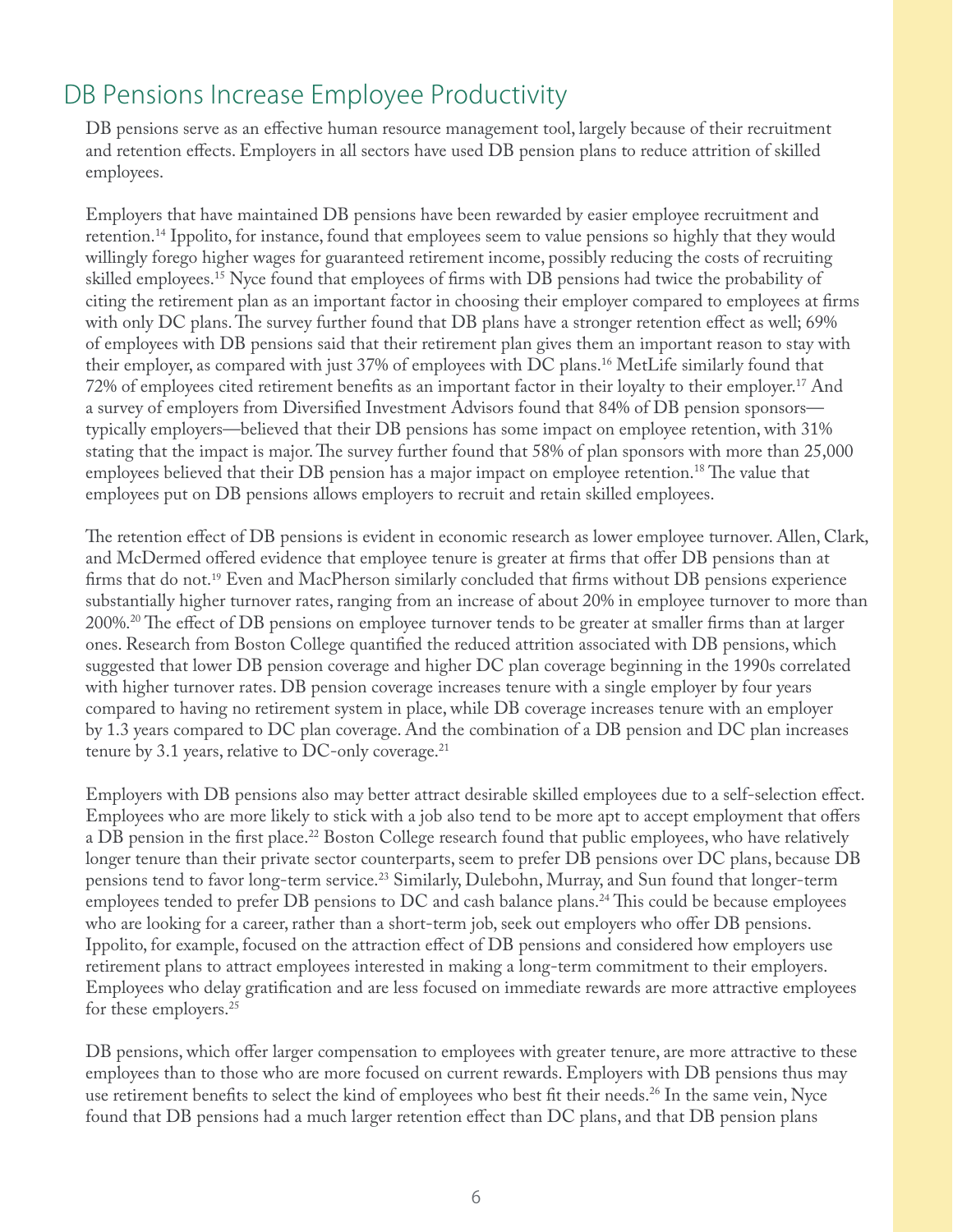#### DB Pensions Increase Employee Productivity

DB pensions serve as an effective human resource management tool, largely because of their recruitment and retention effects. Employers in all sectors have used DB pension plans to reduce attrition of skilled employees.

Employers that have maintained DB pensions have been rewarded by easier employee recruitment and retention.14 Ippolito, for instance, found that employees seem to value pensions so highly that they would willingly forego higher wages for guaranteed retirement income, possibly reducing the costs of recruiting skilled employees.<sup>15</sup> Nyce found that employees of firms with DB pensions had twice the probability of citing the retirement plan as an important factor in choosing their employer compared to employees at firms with only DC plans. The survey further found that DB plans have a stronger retention effect as well; 69% of employees with DB pensions said that their retirement plan gives them an important reason to stay with their employer, as compared with just 37% of employees with DC plans.16 MetLife similarly found that 72% of employees cited retirement benefits as an important factor in their loyalty to their employer.<sup>17</sup> And a survey of employers from Diversified Investment Advisors found that 84% of DB pension sponsors typically employers—believed that their DB pensions has some impact on employee retention, with 31% stating that the impact is major. The survey further found that 58% of plan sponsors with more than 25,000 employees believed that their DB pension has a major impact on employee retention.<sup>18</sup> The value that employees put on DB pensions allows employers to recruit and retain skilled employees.

The retention effect of DB pensions is evident in economic research as lower employee turnover. Allen, Clark, and McDermed offered evidence that employee tenure is greater at firms that offer DB pensions than at firms that do not.<sup>19</sup> Even and MacPherson similarly concluded that firms without DB pensions experience substantially higher turnover rates, ranging from an increase of about 20% in employee turnover to more than  $200\%$ .<sup>20</sup> The effect of DB pensions on employee turnover tends to be greater at smaller firms than at larger ones. Research from Boston College quantified the reduced attrition associated with DB pensions, which suggested that lower DB pension coverage and higher DC plan coverage beginning in the 1990s correlated with higher turnover rates. DB pension coverage increases tenure with a single employer by four years compared to having no retirement system in place, while DB coverage increases tenure with an employer by 1.3 years compared to DC plan coverage. And the combination of a DB pension and DC plan increases tenure by 3.1 years, relative to DC-only coverage. $^{21}$ 

Employers with DB pensions also may better attract desirable skilled employees due to a self-selection effect. Employees who are more likely to stick with a job also tend to be more apt to accept employment that offers a DB pension in the first place.<sup>22</sup> Boston College research found that public employees, who have relatively longer tenure than their private sector counterparts, seem to prefer DB pensions over DC plans, because DB pensions tend to favor long-term service.<sup>23</sup> Similarly, Dulebohn, Murray, and Sun found that longer-term employees tended to prefer DB pensions to DC and cash balance plans.<sup>24</sup> This could be because employees who are looking for a career, rather than a short-term job, seek out employers who offer DB pensions. Ippolito, for example, focused on the attraction effect of DB pensions and considered how employers use retirement plans to attract employees interested in making a long-term commitment to their employers. Employees who delay gratification and are less focused on immediate rewards are more attractive employees for these employers.<sup>25</sup>

DB pensions, which offer larger compensation to employees with greater tenure, are more attractive to these employees than to those who are more focused on current rewards. Employers with DB pensions thus may use retirement benefits to select the kind of employees who best fit their needs.<sup>26</sup> In the same vein, Nyce found that DB pensions had a much larger retention effect than DC plans, and that DB pension plans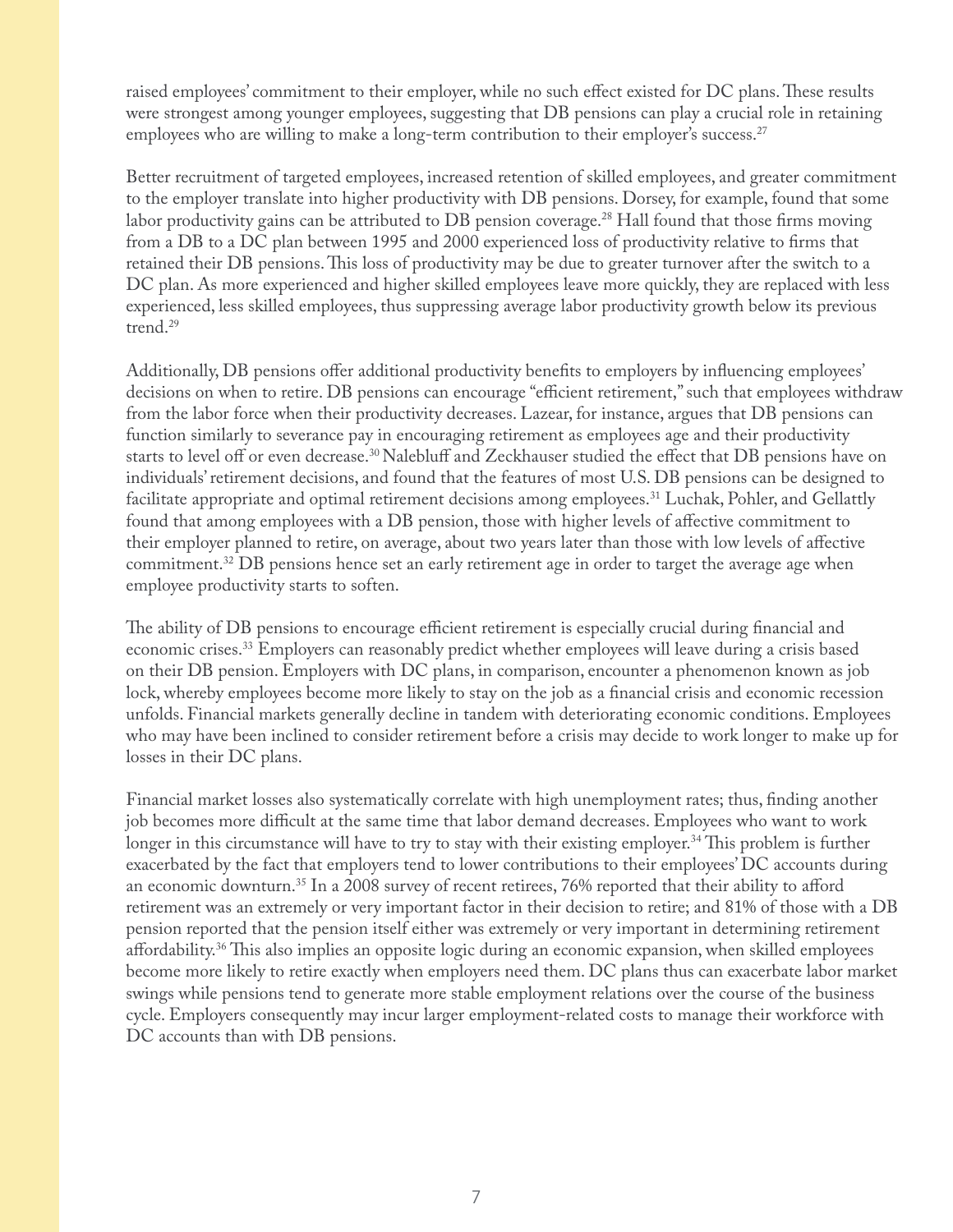raised employees' commitment to their employer, while no such effect existed for DC plans. These results were strongest among younger employees, suggesting that DB pensions can play a crucial role in retaining employees who are willing to make a long-term contribution to their employer's success.<sup>27</sup>

Better recruitment of targeted employees, increased retention of skilled employees, and greater commitment to the employer translate into higher productivity with DB pensions. Dorsey, for example, found that some labor productivity gains can be attributed to DB pension coverage.<sup>28</sup> Hall found that those firms moving from a DB to a DC plan between 1995 and 2000 experienced loss of productivity relative to firms that retained their DB pensions. This loss of productivity may be due to greater turnover after the switch to a DC plan. As more experienced and higher skilled employees leave more quickly, they are replaced with less experienced, less skilled employees, thus suppressing average labor productivity growth below its previous trend.29

Additionally, DB pensions offer additional productivity benefits to employers by influencing employees' decisions on when to retire. DB pensions can encourage "efficient retirement," such that employees withdraw from the labor force when their productivity decreases. Lazear, for instance, argues that DB pensions can function similarly to severance pay in encouraging retirement as employees age and their productivity starts to level off or even decrease.<sup>30</sup> Nalebluff and Zeckhauser studied the effect that DB pensions have on individuals' retirement decisions, and found that the features of most U.S. DB pensions can be designed to facilitate appropriate and optimal retirement decisions among employees.<sup>31</sup> Luchak, Pohler, and Gellattly found that among employees with a DB pension, those with higher levels of affective commitment to their employer planned to retire, on average, about two years later than those with low levels of affective commitment.<sup>32</sup> DB pensions hence set an early retirement age in order to target the average age when employee productivity starts to soften.

The ability of DB pensions to encourage efficient retirement is especially crucial during financial and economic crises.<sup>33</sup> Employers can reasonably predict whether employees will leave during a crisis based on their DB pension. Employers with DC plans, in comparison, encounter a phenomenon known as job lock, whereby employees become more likely to stay on the job as a financial crisis and economic recession unfolds. Financial markets generally decline in tandem with deteriorating economic conditions. Employees who may have been inclined to consider retirement before a crisis may decide to work longer to make up for losses in their DC plans.

Financial market losses also systematically correlate with high unemployment rates; thus, finding another job becomes more difficult at the same time that labor demand decreases. Employees who want to work longer in this circumstance will have to try to stay with their existing employer.<sup>34</sup> This problem is further exacerbated by the fact that employers tend to lower contributions to their employees' DC accounts during an economic downturn.<sup>35</sup> In a 2008 survey of recent retirees, 76% reported that their ability to afford retirement was an extremely or very important factor in their decision to retire; and 81% of those with a DB pension reported that the pension itself either was extremely or very important in determining retirement affordability.<sup>36</sup> This also implies an opposite logic during an economic expansion, when skilled employees become more likely to retire exactly when employers need them. DC plans thus can exacerbate labor market swings while pensions tend to generate more stable employment relations over the course of the business cycle. Employers consequently may incur larger employment-related costs to manage their workforce with DC accounts than with DB pensions.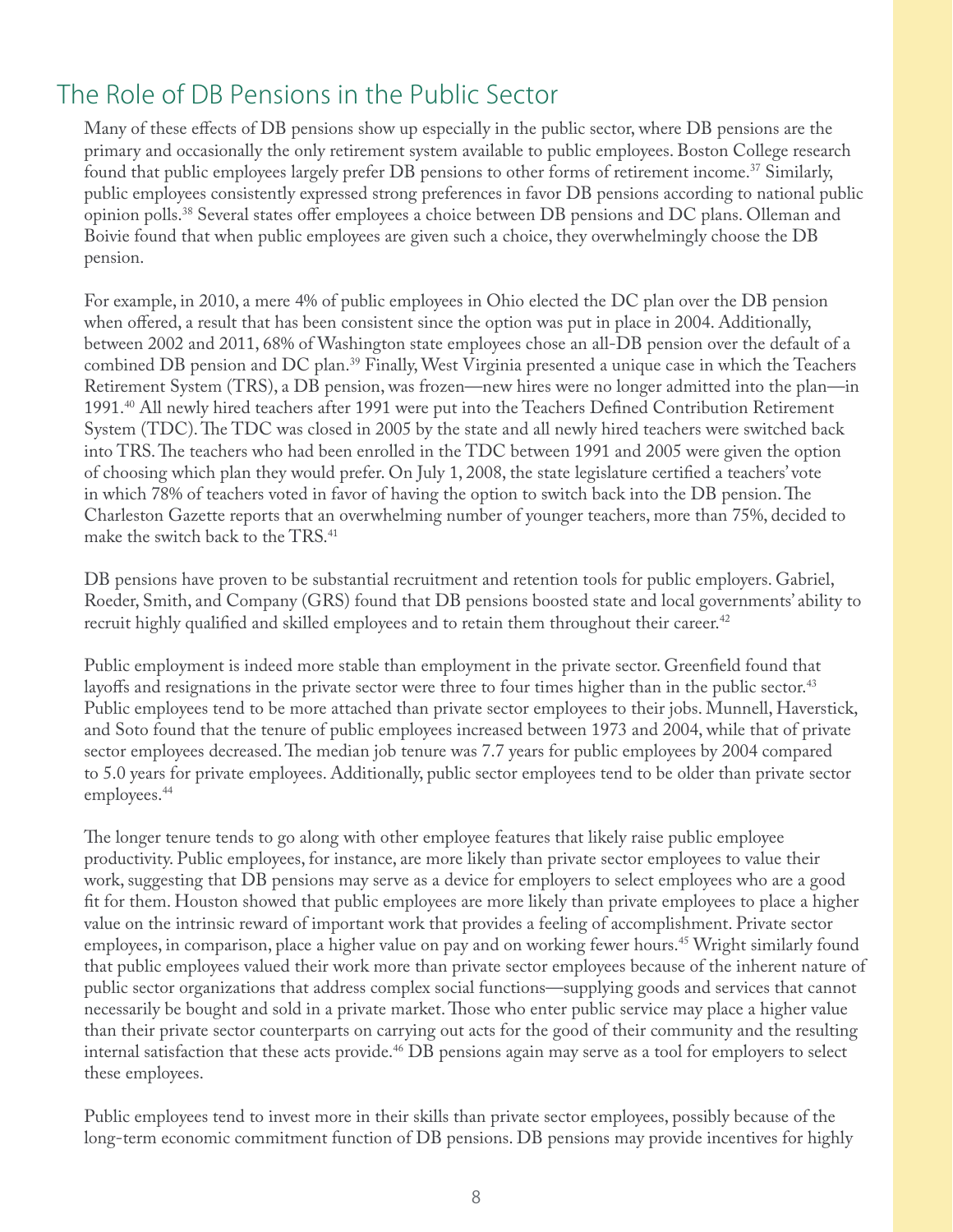#### The Role of DB Pensions in the Public Sector

Many of these effects of DB pensions show up especially in the public sector, where DB pensions are the primary and occasionally the only retirement system available to public employees. Boston College research found that public employees largely prefer DB pensions to other forms of retirement income.37 Similarly, public employees consistently expressed strong preferences in favor DB pensions according to national public opinion polls.<sup>38</sup> Several states offer employees a choice between DB pensions and DC plans. Olleman and Boivie found that when public employees are given such a choice, they overwhelmingly choose the DB pension.

For example, in 2010, a mere 4% of public employees in Ohio elected the DC plan over the DB pension when offered, a result that has been consistent since the option was put in place in 2004. Additionally, between 2002 and 2011, 68% of Washington state employees chose an all-DB pension over the default of a combined DB pension and DC plan.39 Finally, West Virginia presented a unique case in which the Teachers Retirement System (TRS), a DB pension, was frozen—new hires were no longer admitted into the plan—in 1991.<sup>40</sup> All newly hired teachers after 1991 were put into the Teachers Defined Contribution Retirement System (TDC). The TDC was closed in 2005 by the state and all newly hired teachers were switched back into TRS. The teachers who had been enrolled in the TDC between 1991 and 2005 were given the option of choosing which plan they would prefer. On July 1, 2008, the state legislature certified a teachers' vote in which 78% of teachers voted in favor of having the option to switch back into the DB pension. The Charleston Gazette reports that an overwhelming number of younger teachers, more than 75%, decided to make the switch back to the TRS.<sup>41</sup>

DB pensions have proven to be substantial recruitment and retention tools for public employers. Gabriel, Roeder, Smith, and Company (GRS) found that DB pensions boosted state and local governments' ability to recruit highly qualified and skilled employees and to retain them throughout their career.<sup>42</sup>

Public employment is indeed more stable than employment in the private sector. Greenfield found that layoffs and resignations in the private sector were three to four times higher than in the public sector.<sup>43</sup> Public employees tend to be more attached than private sector employees to their jobs. Munnell, Haverstick, and Soto found that the tenure of public employees increased between 1973 and 2004, while that of private sector employees decreased. The median job tenure was 7.7 years for public employees by 2004 compared to 5.0 years for private employees. Additionally, public sector employees tend to be older than private sector employees.<sup>44</sup>

The longer tenure tends to go along with other employee features that likely raise public employee productivity. Public employees, for instance, are more likely than private sector employees to value their work, suggesting that DB pensions may serve as a device for employers to select employees who are a good fit for them. Houston showed that public employees are more likely than private employees to place a higher value on the intrinsic reward of important work that provides a feeling of accomplishment. Private sector employees, in comparison, place a higher value on pay and on working fewer hours.<sup>45</sup> Wright similarly found that public employees valued their work more than private sector employees because of the inherent nature of public sector organizations that address complex social functions—supplying goods and services that cannot necessarily be bought and sold in a private market. Those who enter public service may place a higher value than their private sector counterparts on carrying out acts for the good of their community and the resulting internal satisfaction that these acts provide.<sup>46</sup> DB pensions again may serve as a tool for employers to select these employees.

Public employees tend to invest more in their skills than private sector employees, possibly because of the long-term economic commitment function of DB pensions. DB pensions may provide incentives for highly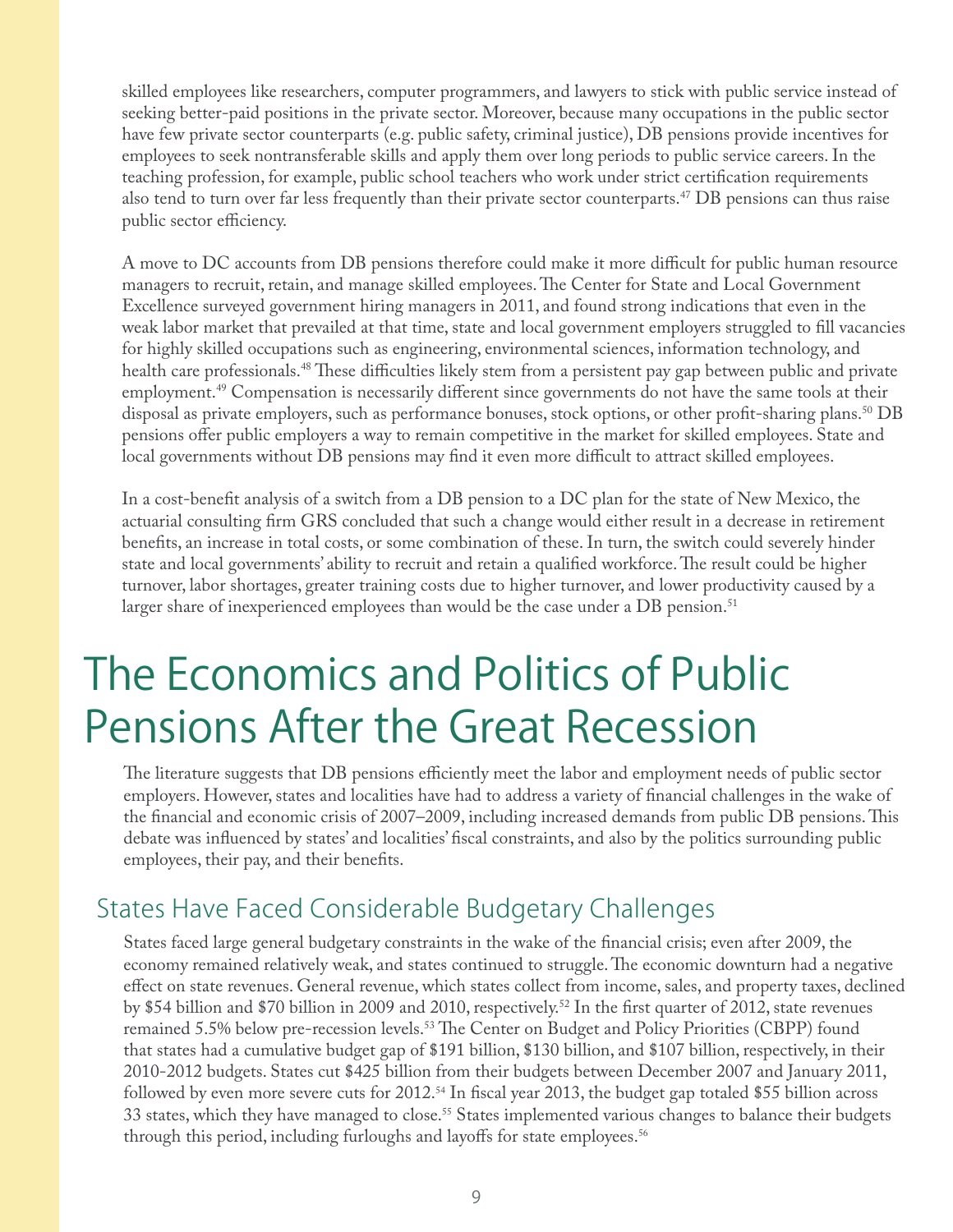skilled employees like researchers, computer programmers, and lawyers to stick with public service instead of seeking better-paid positions in the private sector. Moreover, because many occupations in the public sector have few private sector counterparts (e.g. public safety, criminal justice), DB pensions provide incentives for employees to seek nontransferable skills and apply them over long periods to public service careers. In the teaching profession, for example, public school teachers who work under strict certification requirements also tend to turn over far less frequently than their private sector counterparts.47 DB pensions can thus raise public sector efficiency.

A move to DC accounts from DB pensions therefore could make it more difficult for public human resource managers to recruit, retain, and manage skilled employees. The Center for State and Local Government Excellence surveyed government hiring managers in 2011, and found strong indications that even in the weak labor market that prevailed at that time, state and local government employers struggled to fill vacancies for highly skilled occupations such as engineering, environmental sciences, information technology, and health care professionals.<sup>48</sup> These difficulties likely stem from a persistent pay gap between public and private employment.<sup>49</sup> Compensation is necessarily different since governments do not have the same tools at their disposal as private employers, such as performance bonuses, stock options, or other profit-sharing plans.<sup>50</sup> DB pensions offer public employers a way to remain competitive in the market for skilled employees. State and local governments without DB pensions may find it even more difficult to attract skilled employees.

In a cost-benefit analysis of a switch from a DB pension to a DC plan for the state of New Mexico, the actuarial consulting firm GRS concluded that such a change would either result in a decrease in retirement benefits, an increase in total costs, or some combination of these. In turn, the switch could severely hinder state and local governments' ability to recruit and retain a qualified workforce. The result could be higher turnover, labor shortages, greater training costs due to higher turnover, and lower productivity caused by a larger share of inexperienced employees than would be the case under a DB pension.<sup>51</sup>

### The Economics and Politics of Public Pensions After the Great Recession

The literature suggests that DB pensions efficiently meet the labor and employment needs of public sector employers. However, states and localities have had to address a variety of financial challenges in the wake of the financial and economic crisis of 2007–2009, including increased demands from public DB pensions. This debate was influenced by states' and localities' fiscal constraints, and also by the politics surrounding public employees, their pay, and their benefits.

#### States Have Faced Considerable Budgetary Challenges

States faced large general budgetary constraints in the wake of the financial crisis; even after 2009, the economy remained relatively weak, and states continued to struggle. The economic downturn had a negative effect on state revenues. General revenue, which states collect from income, sales, and property taxes, declined by \$54 billion and \$70 billion in 2009 and 2010, respectively.<sup>52</sup> In the first quarter of 2012, state revenues remained  $5.5\%$  below pre-recession levels.<sup>53</sup> The Center on Budget and Policy Priorities (CBPP) found that states had a cumulative budget gap of \$191 billion, \$130 billion, and \$107 billion, respectively, in their 2010-2012 budgets. States cut \$425 billion from their budgets between December 2007 and January 2011, followed by even more severe cuts for 2012.<sup>54</sup> In fiscal year 2013, the budget gap totaled \$55 billion across 33 states, which they have managed to close.<sup>55</sup> States implemented various changes to balance their budgets through this period, including furloughs and layoffs for state employees.<sup>56</sup>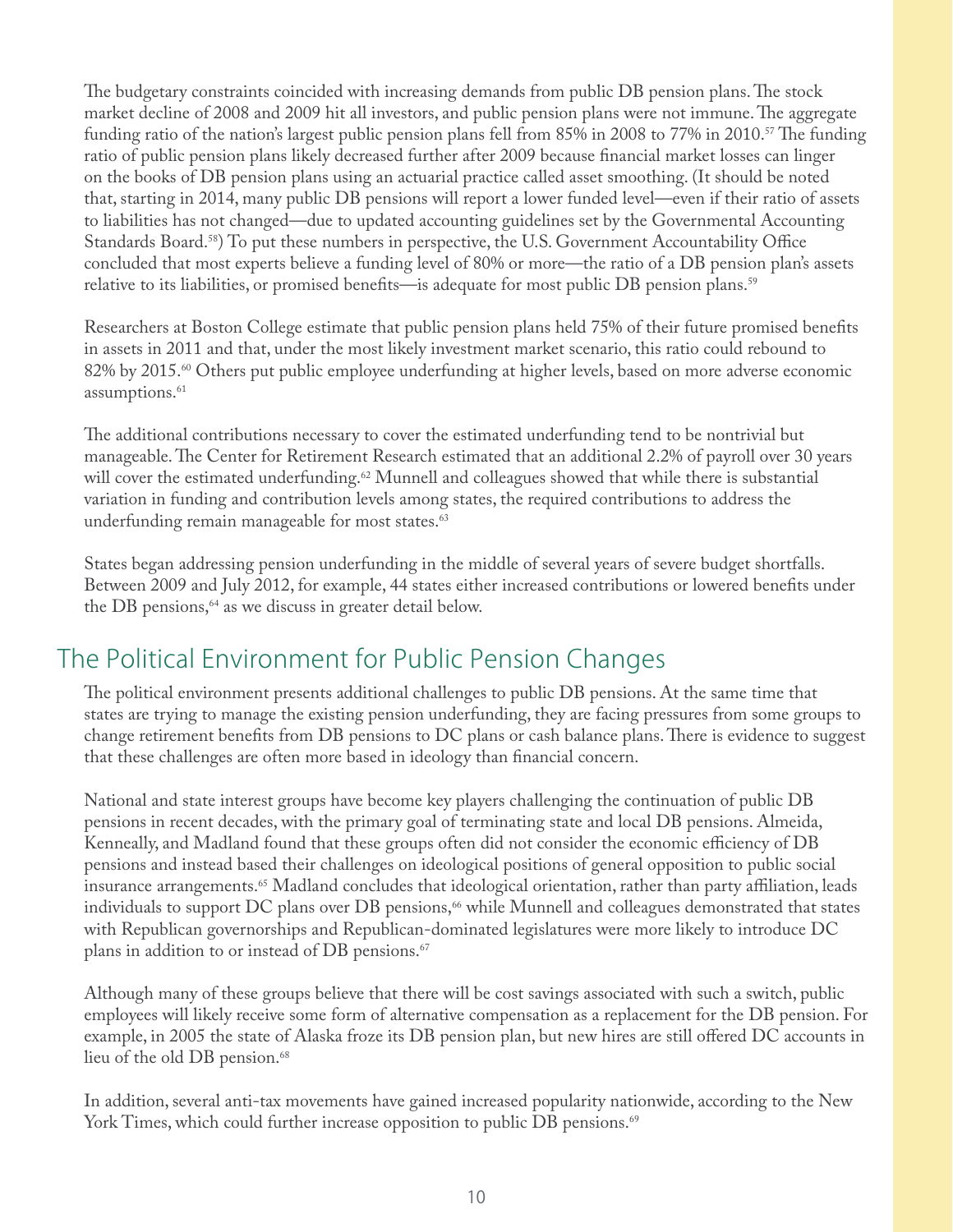The budgetary constraints coincided with increasing demands from public DB pension plans. The stock market decline of 2008 and 2009 hit all investors, and public pension plans were not immune. The aggregate funding ratio of the nation's largest public pension plans fell from  $85\%$  in 2008 to 77% in 2010.<sup>57</sup> The funding ratio of public pension plans likely decreased further after 2009 because financial market losses can linger on the books of DB pension plans using an actuarial practice called asset smoothing. (It should be noted that, starting in 2014, many public DB pensions will report a lower funded level—even if their ratio of assets to liabilities has not changed—due to updated accounting guidelines set by the Governmental Accounting Standards Board.<sup>58</sup>) To put these numbers in perspective, the U.S. Government Accountability Office concluded that most experts believe a funding level of 80% or more—the ratio of a DB pension plan's assets relative to its liabilities, or promised benefits—is adequate for most public DB pension plans.<sup>59</sup>

Researchers at Boston College estimate that public pension plans held 75% of their future promised benefits in assets in 2011 and that, under the most likely investment market scenario, this ratio could rebound to 82% by 2015.<sup>60</sup> Others put public employee underfunding at higher levels, based on more adverse economic assumptions.<sup>61</sup>

The additional contributions necessary to cover the estimated underfunding tend to be nontrivial but manageable. The Center for Retirement Research estimated that an additional 2.2% of payroll over 30 years will cover the estimated underfunding.<sup>62</sup> Munnell and colleagues showed that while there is substantial variation in funding and contribution levels among states, the required contributions to address the underfunding remain manageable for most states.<sup>63</sup>

States began addressing pension underfunding in the middle of several years of severe budget shortfalls. Between 2009 and July 2012, for example, 44 states either increased contributions or lowered benefits under the DB pensions, $64$  as we discuss in greater detail below.

#### The Political Environment for Public Pension Changes

The political environment presents additional challenges to public DB pensions. At the same time that states are trying to manage the existing pension underfunding, they are facing pressures from some groups to change retirement benefits from DB pensions to DC plans or cash balance plans. There is evidence to suggest that these challenges are often more based in ideology than financial concern.

National and state interest groups have become key players challenging the continuation of public DB pensions in recent decades, with the primary goal of terminating state and local DB pensions. Almeida, Kenneally, and Madland found that these groups often did not consider the economic efficiency of DB pensions and instead based their challenges on ideological positions of general opposition to public social insurance arrangements.<sup>65</sup> Madland concludes that ideological orientation, rather than party affiliation, leads individuals to support DC plans over DB pensions,<sup>66</sup> while Munnell and colleagues demonstrated that states with Republican governorships and Republican-dominated legislatures were more likely to introduce DC plans in addition to or instead of DB pensions.<sup>67</sup>

Although many of these groups believe that there will be cost savings associated with such a switch, public employees will likely receive some form of alternative compensation as a replacement for the DB pension. For example, in 2005 the state of Alaska froze its DB pension plan, but new hires are still offered DC accounts in lieu of the old DB pension.<sup>68</sup>

In addition, several anti-tax movements have gained increased popularity nationwide, according to the New York Times, which could further increase opposition to public DB pensions.<sup>69</sup>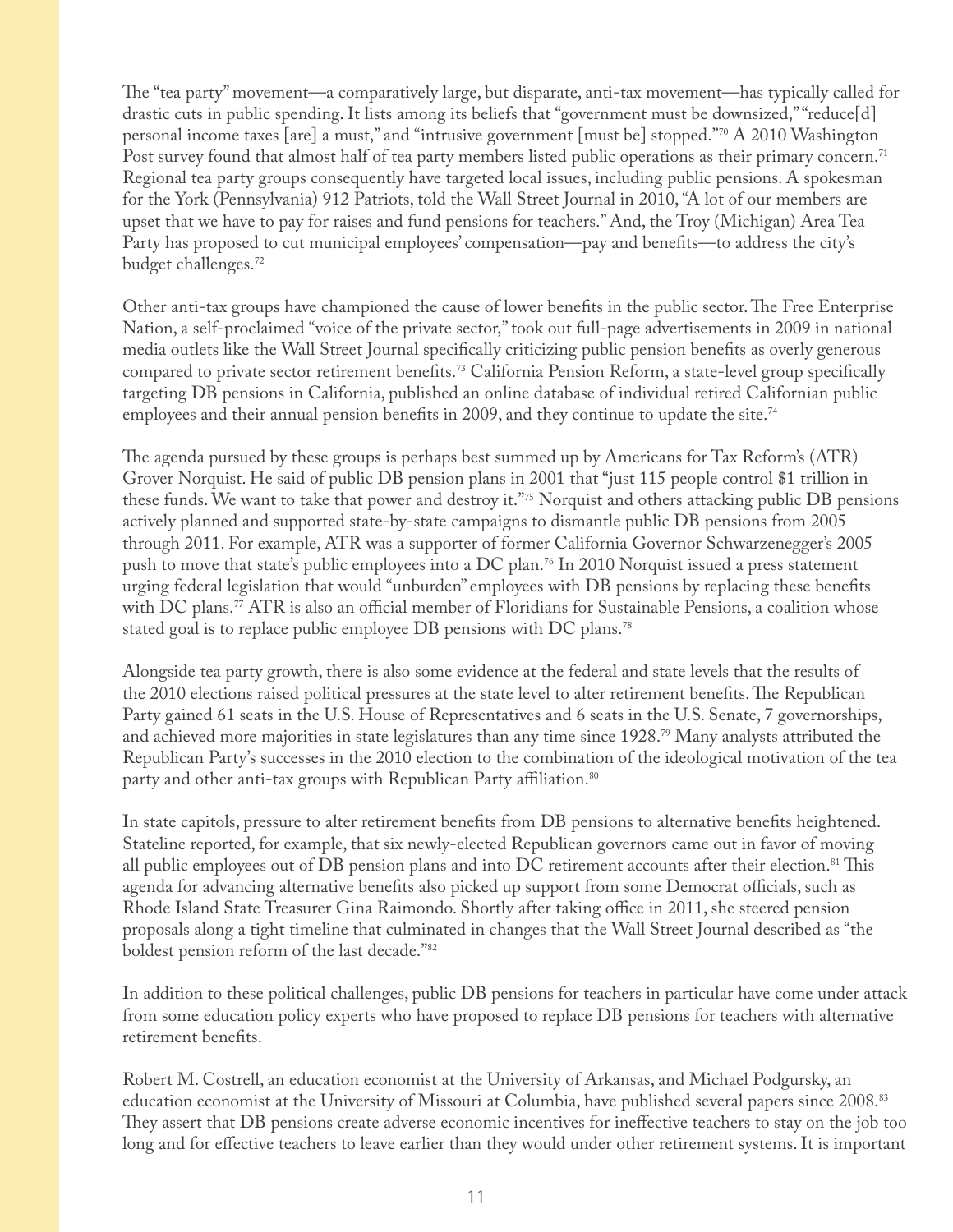The "tea party" movement—a comparatively large, but disparate, anti-tax movement—has typically called for drastic cuts in public spending. It lists among its beliefs that "government must be downsized," "reduce[d] personal income taxes [are] a must," and "intrusive government [must be] stopped."70 A 2010 Washington Post survey found that almost half of tea party members listed public operations as their primary concern.<sup>71</sup> Regional tea party groups consequently have targeted local issues, including public pensions. A spokesman for the York (Pennsylvania) 912 Patriots, told the Wall Street Journal in 2010, "A lot of our members are upset that we have to pay for raises and fund pensions for teachers." And, the Troy (Michigan) Area Tea Party has proposed to cut municipal employees' compensation—pay and benefits—to address the city's budget challenges.72

Other anti-tax groups have championed the cause of lower benefits in the public sector. The Free Enterprise Nation, a self-proclaimed "voice of the private sector," took out full-page advertisements in 2009 in national media outlets like the Wall Street Journal specifically criticizing public pension benefits as overly generous compared to private sector retirement benefits.<sup>73</sup> California Pension Reform, a state-level group specifically targeting DB pensions in California, published an online database of individual retired Californian public employees and their annual pension benefits in 2009, and they continue to update the site.<sup>74</sup>

The agenda pursued by these groups is perhaps best summed up by Americans for Tax Reform's (ATR) Grover Norquist. He said of public DB pension plans in 2001 that "just 115 people control \$1 trillion in these funds. We want to take that power and destroy it."75 Norquist and others attacking public DB pensions actively planned and supported state-by-state campaigns to dismantle public DB pensions from 2005 through 2011. For example, ATR was a supporter of former California Governor Schwarzenegger's 2005 push to move that state's public employees into a DC plan.<sup>76</sup> In 2010 Norquist issued a press statement urging federal legislation that would "unburden" employees with DB pensions by replacing these benefits with DC plans.<sup>77</sup> ATR is also an official member of Floridians for Sustainable Pensions, a coalition whose stated goal is to replace public employee DB pensions with DC plans.<sup>78</sup>

Alongside tea party growth, there is also some evidence at the federal and state levels that the results of the 2010 elections raised political pressures at the state level to alter retirement benefits. The Republican Party gained 61 seats in the U.S. House of Representatives and 6 seats in the U.S. Senate, 7 governorships, and achieved more majorities in state legislatures than any time since 1928.79 Many analysts attributed the Republican Party's successes in the 2010 election to the combination of the ideological motivation of the tea party and other anti-tax groups with Republican Party affiliation.<sup>80</sup>

In state capitols, pressure to alter retirement benefits from DB pensions to alternative benefits heightened. Stateline reported, for example, that six newly-elected Republican governors came out in favor of moving all public employees out of DB pension plans and into DC retirement accounts after their election.<sup>81</sup> This agenda for advancing alternative benefits also picked up support from some Democrat officials, such as Rhode Island State Treasurer Gina Raimondo. Shortly after taking office in 2011, she steered pension proposals along a tight timeline that culminated in changes that the Wall Street Journal described as "the boldest pension reform of the last decade."82

In addition to these political challenges, public DB pensions for teachers in particular have come under attack from some education policy experts who have proposed to replace DB pensions for teachers with alternative retirement benefits.

Robert M. Costrell, an education economist at the University of Arkansas, and Michael Podgursky, an education economist at the University of Missouri at Columbia, have published several papers since 2008.83 They assert that DB pensions create adverse economic incentives for ineffective teachers to stay on the job too long and for effective teachers to leave earlier than they would under other retirement systems. It is important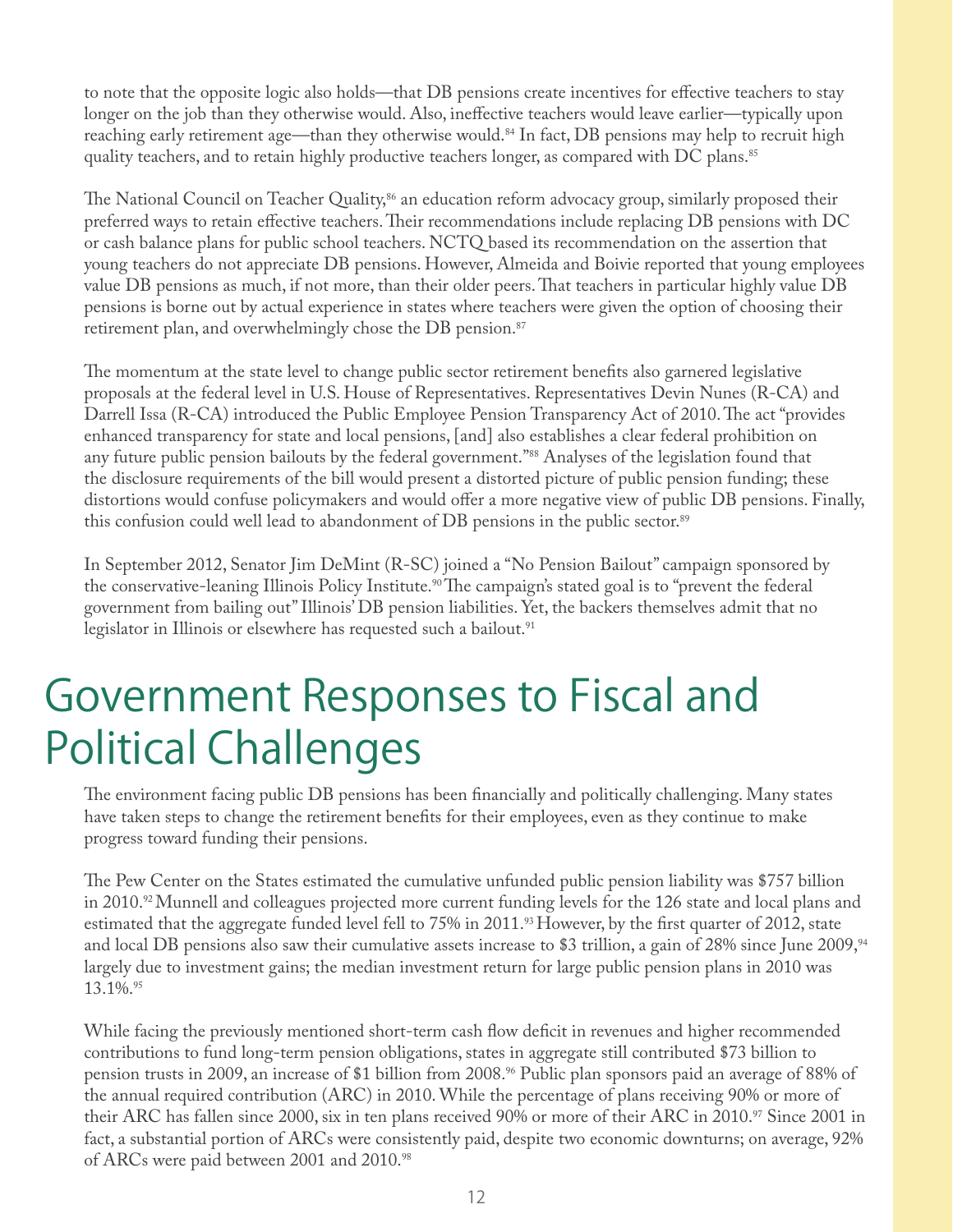to note that the opposite logic also holds—that DB pensions create incentives for effective teachers to stay longer on the job than they otherwise would. Also, ineffective teachers would leave earlier—typically upon reaching early retirement age—than they otherwise would.<sup>84</sup> In fact, DB pensions may help to recruit high quality teachers, and to retain highly productive teachers longer, as compared with DC plans.<sup>85</sup>

The National Council on Teacher Quality,<sup>86</sup> an education reform advocacy group, similarly proposed their preferred ways to retain effective teachers. Their recommendations include replacing DB pensions with DC or cash balance plans for public school teachers. NCTQ based its recommendation on the assertion that young teachers do not appreciate DB pensions. However, Almeida and Boivie reported that young employees value DB pensions as much, if not more, than their older peers. That teachers in particular highly value DB pensions is borne out by actual experience in states where teachers were given the option of choosing their retirement plan, and overwhelmingly chose the DB pension.<sup>87</sup>

The momentum at the state level to change public sector retirement benefits also garnered legislative proposals at the federal level in U.S. House of Representatives. Representatives Devin Nunes (R-CA) and Darrell Issa (R-CA) introduced the Public Employee Pension Transparency Act of 2010. The act "provides" enhanced transparency for state and local pensions, [and] also establishes a clear federal prohibition on any future public pension bailouts by the federal government."88 Analyses of the legislation found that the disclosure requirements of the bill would present a distorted picture of public pension funding; these distortions would confuse policymakers and would offer a more negative view of public DB pensions. Finally, this confusion could well lead to abandonment of DB pensions in the public sector.<sup>89</sup>

In September 2012, Senator Jim DeMint (R-SC) joined a "No Pension Bailout" campaign sponsored by the conservative-leaning Illinois Policy Institute.<sup>90</sup> The campaign's stated goal is to "prevent the federal government from bailing out" Illinois' DB pension liabilities. Yet, the backers themselves admit that no legislator in Illinois or elsewhere has requested such a bailout.<sup>91</sup>

### Government Responses to Fiscal and Political Challenges

The environment facing public DB pensions has been financially and politically challenging. Many states have taken steps to change the retirement benefits for their employees, even as they continue to make progress toward funding their pensions.

The Pew Center on the States estimated the cumulative unfunded public pension liability was \$757 billion in 2010.92 Munnell and colleagues projected more current funding levels for the 126 state and local plans and estimated that the aggregate funded level fell to  $75\%$  in  $2011$ .<sup>93</sup> However, by the first quarter of  $2012$ , state and local DB pensions also saw their cumulative assets increase to \$3 trillion, a gain of 28% since June 2009,<sup>94</sup> largely due to investment gains; the median investment return for large public pension plans in 2010 was 13.1%.95

While facing the previously mentioned short-term cash flow deficit in revenues and higher recommended contributions to fund long-term pension obligations, states in aggregate still contributed \$73 billion to pension trusts in 2009, an increase of \$1 billion from 2008.96 Public plan sponsors paid an average of 88% of the annual required contribution (ARC) in 2010. While the percentage of plans receiving 90% or more of their ARC has fallen since 2000, six in ten plans received 90% or more of their ARC in 2010.<sup>97</sup> Since 2001 in fact, a substantial portion of ARCs were consistently paid, despite two economic downturns; on average, 92% of ARCs were paid between 2001 and 2010.98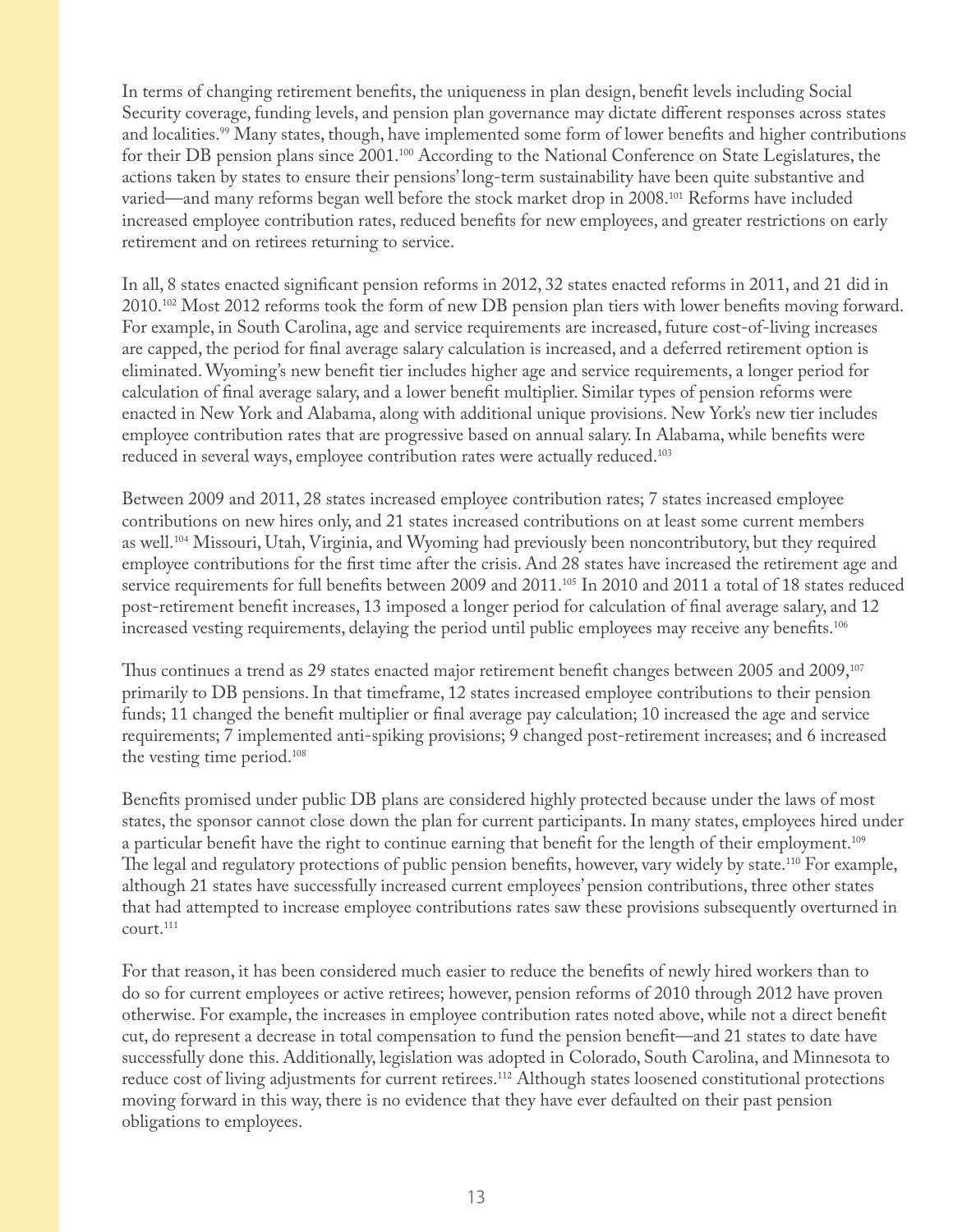In terms of changing retirement benefits, the uniqueness in plan design, benefit levels including Social Security coverage, funding levels, and pension plan governance may dictate different responses across states and localities.<sup>99</sup> Many states, though, have implemented some form of lower benefits and higher contributions for their DB pension plans since 2001.100 According to the National Conference on State Legislatures, the actions taken by states to ensure their pensions' long-term sustainability have been quite substantive and varied—and many reforms began well before the stock market drop in 2008.101 Reforms have included increased employee contribution rates, reduced benefits for new employees, and greater restrictions on early retirement and on retirees returning to service.

In all, 8 states enacted significant pension reforms in 2012, 32 states enacted reforms in 2011, and 21 did in  $2010^{102}$  Most 2012 reforms took the form of new DB pension plan tiers with lower benefits moving forward. For example, in South Carolina, age and service requirements are increased, future cost-of-living increases are capped, the period for final average salary calculation is increased, and a deferred retirement option is eliminated. Wyoming's new benefit tier includes higher age and service requirements, a longer period for calculation of final average salary, and a lower benefit multiplier. Similar types of pension reforms were enacted in New York and Alabama, along with additional unique provisions. New York's new tier includes employee contribution rates that are progressive based on annual salary. In Alabama, while benefits were reduced in several ways, employee contribution rates were actually reduced.<sup>103</sup>

Between 2009 and 2011, 28 states increased employee contribution rates; 7 states increased employee contributions on new hires only, and 21 states increased contributions on at least some current members as well.104 Missouri, Utah, Virginia, and Wyoming had previously been noncontributory, but they required employee contributions for the first time after the crisis. And 28 states have increased the retirement age and service requirements for full benefits between 2009 and 2011.<sup>105</sup> In 2010 and 2011 a total of 18 states reduced post-retirement benefit increases, 13 imposed a longer period for calculation of final average salary, and 12 increased vesting requirements, delaying the period until public employees may receive any benefits.<sup>106</sup>

Thus continues a trend as 29 states enacted major retirement benefit changes between 2005 and 2009, $^{107}$ primarily to DB pensions. In that timeframe, 12 states increased employee contributions to their pension funds; 11 changed the benefit multiplier or final average pay calculation; 10 increased the age and service requirements; 7 implemented anti-spiking provisions; 9 changed post-retirement increases; and 6 increased the vesting time period.108

Benefits promised under public DB plans are considered highly protected because under the laws of most states, the sponsor cannot close down the plan for current participants. In many states, employees hired under a particular benefit have the right to continue earning that benefit for the length of their employment.<sup>109</sup> The legal and regulatory protections of public pension benefits, however, vary widely by state.<sup>110</sup> For example, although 21 states have successfully increased current employees' pension contributions, three other states that had attempted to increase employee contributions rates saw these provisions subsequently overturned in court.<sup>111</sup>

For that reason, it has been considered much easier to reduce the benefits of newly hired workers than to do so for current employees or active retirees; however, pension reforms of 2010 through 2012 have proven otherwise. For example, the increases in employee contribution rates noted above, while not a direct benefit cut, do represent a decrease in total compensation to fund the pension benefit—and 21 states to date have successfully done this. Additionally, legislation was adopted in Colorado, South Carolina, and Minnesota to reduce cost of living adjustments for current retirees.<sup>112</sup> Although states loosened constitutional protections moving forward in this way, there is no evidence that they have ever defaulted on their past pension obligations to employees.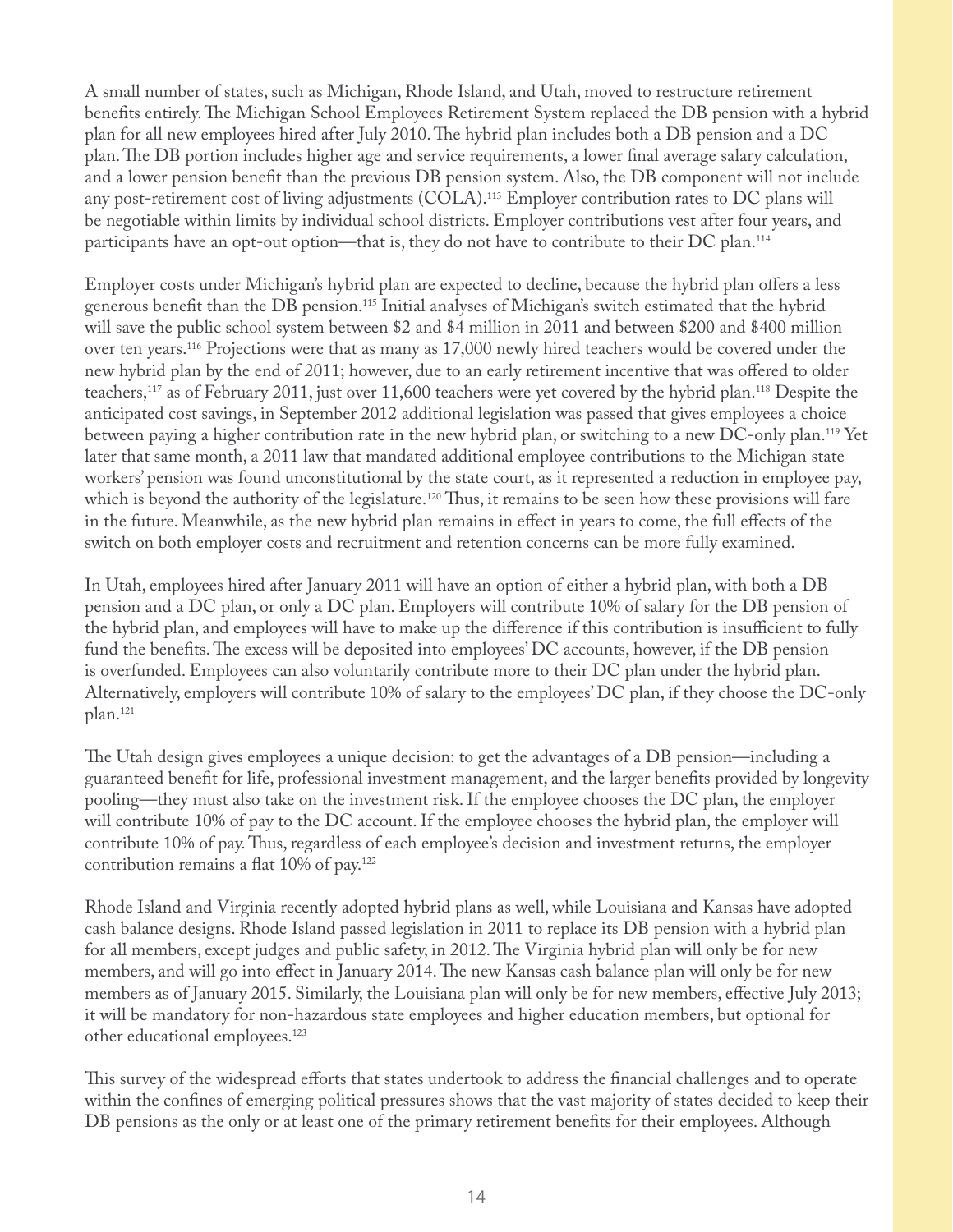A small number of states, such as Michigan, Rhode Island, and Utah, moved to restructure retirement benefits entirely. The Michigan School Employees Retirement System replaced the DB pension with a hybrid plan for all new employees hired after July 2010. The hybrid plan includes both a DB pension and a DC plan. The DB portion includes higher age and service requirements, a lower final average salary calculation, and a lower pension benefit than the previous DB pension system. Also, the DB component will not include any post-retirement cost of living adjustments (COLA).113 Employer contribution rates to DC plans will be negotiable within limits by individual school districts. Employer contributions vest after four years, and participants have an opt-out option—that is, they do not have to contribute to their DC plan.<sup>114</sup>

Employer costs under Michigan's hybrid plan are expected to decline, because the hybrid plan offers a less generous benefit than the DB pension.<sup>115</sup> Initial analyses of Michigan's switch estimated that the hybrid will save the public school system between \$2 and \$4 million in 2011 and between \$200 and \$400 million over ten years.116 Projections were that as many as 17,000 newly hired teachers would be covered under the new hybrid plan by the end of 2011; however, due to an early retirement incentive that was offered to older teachers,117 as of February 2011, just over 11,600 teachers were yet covered by the hybrid plan.118 Despite the anticipated cost savings, in September 2012 additional legislation was passed that gives employees a choice between paying a higher contribution rate in the new hybrid plan, or switching to a new DC-only plan.119 Yet later that same month, a 2011 law that mandated additional employee contributions to the Michigan state workers' pension was found unconstitutional by the state court, as it represented a reduction in employee pay, which is beyond the authority of the legislature.<sup>120</sup> Thus, it remains to be seen how these provisions will fare in the future. Meanwhile, as the new hybrid plan remains in effect in years to come, the full effects of the switch on both employer costs and recruitment and retention concerns can be more fully examined.

In Utah, employees hired after January 2011 will have an option of either a hybrid plan, with both a DB pension and a DC plan, or only a DC plan. Employers will contribute 10% of salary for the DB pension of the hybrid plan, and employees will have to make up the difference if this contribution is insufficient to fully fund the benefits. The excess will be deposited into employees' DC accounts, however, if the DB pension is overfunded. Employees can also voluntarily contribute more to their DC plan under the hybrid plan. Alternatively, employers will contribute 10% of salary to the employees' DC plan, if they choose the DC-only plan.121

The Utah design gives employees a unique decision: to get the advantages of a DB pension—including a guaranteed benefit for life, professional investment management, and the larger benefits provided by longevity pooling—they must also take on the investment risk. If the employee chooses the DC plan, the employer will contribute 10% of pay to the DC account. If the employee chooses the hybrid plan, the employer will contribute 10% of pay. Thus, regardless of each employee's decision and investment returns, the employer contribution remains a flat  $10\%$  of pay.<sup>122</sup>

Rhode Island and Virginia recently adopted hybrid plans as well, while Louisiana and Kansas have adopted cash balance designs. Rhode Island passed legislation in 2011 to replace its DB pension with a hybrid plan for all members, except judges and public safety, in 2012. The Virginia hybrid plan will only be for new members, and will go into effect in January 2014. The new Kansas cash balance plan will only be for new members as of January 2015. Similarly, the Louisiana plan will only be for new members, effective July 2013; it will be mandatory for non-hazardous state employees and higher education members, but optional for other educational employees.123

This survey of the widespread efforts that states undertook to address the financial challenges and to operate within the confines of emerging political pressures shows that the vast majority of states decided to keep their DB pensions as the only or at least one of the primary retirement benefits for their employees. Although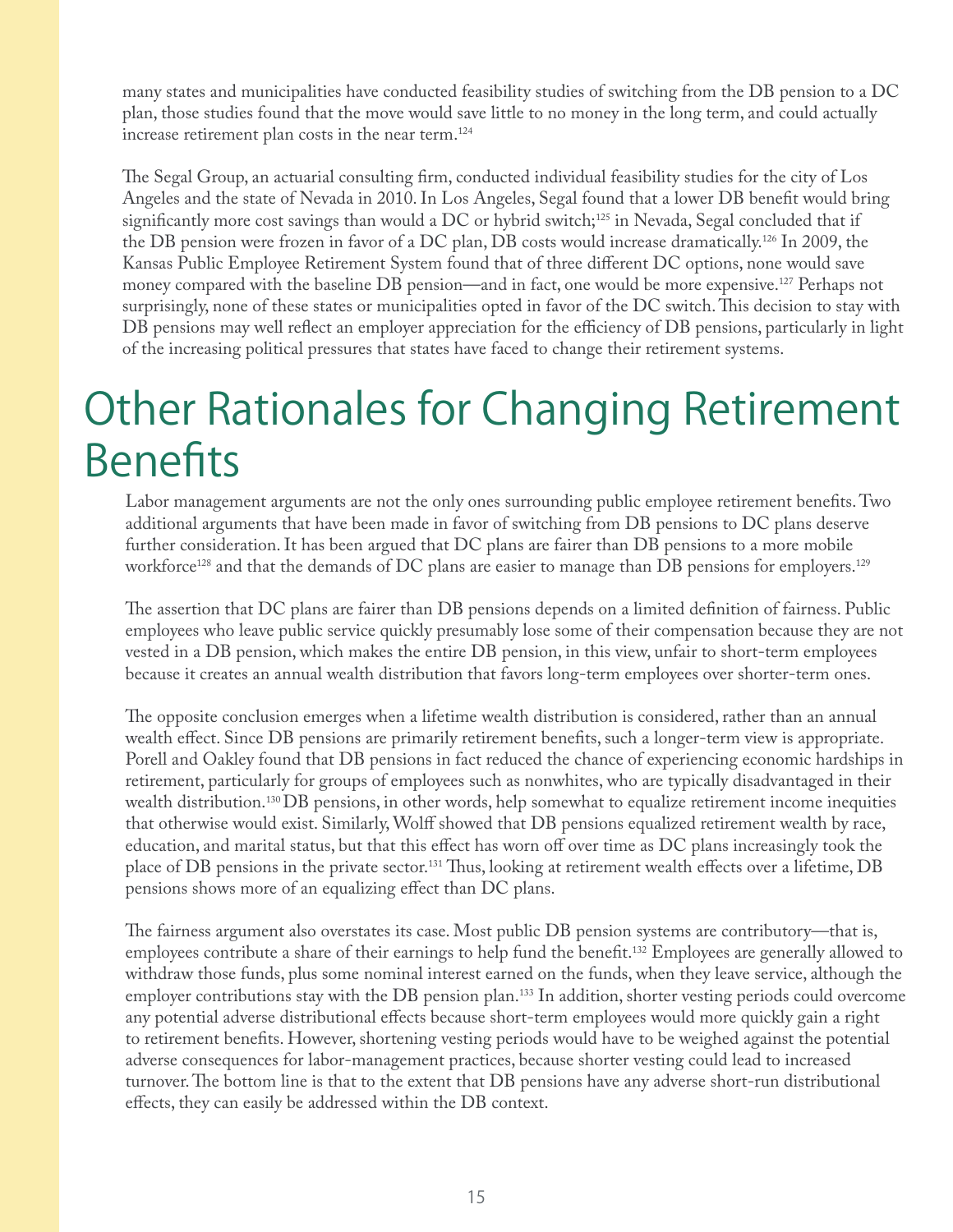many states and municipalities have conducted feasibility studies of switching from the DB pension to a DC plan, those studies found that the move would save little to no money in the long term, and could actually increase retirement plan costs in the near term.<sup>124</sup>

The Segal Group, an actuarial consulting firm, conducted individual feasibility studies for the city of Los Angeles and the state of Nevada in 2010. In Los Angeles, Segal found that a lower DB benefit would bring significantly more cost savings than would a DC or hybrid switch;<sup>125</sup> in Nevada, Segal concluded that if the DB pension were frozen in favor of a DC plan, DB costs would increase dramatically.126 In 2009, the Kansas Public Employee Retirement System found that of three different DC options, none would save money compared with the baseline DB pension—and in fact, one would be more expensive.<sup>127</sup> Perhaps not surprisingly, none of these states or municipalities opted in favor of the DC switch. This decision to stay with DB pensions may well reflect an employer appreciation for the efficiency of DB pensions, particularly in light of the increasing political pressures that states have faced to change their retirement systems.

### Other Rationales for Changing Retirement **Benefits**

Labor management arguments are not the only ones surrounding public employee retirement benefits. Two additional arguments that have been made in favor of switching from DB pensions to DC plans deserve further consideration. It has been argued that DC plans are fairer than DB pensions to a more mobile workforce<sup>128</sup> and that the demands of DC plans are easier to manage than DB pensions for employers.<sup>129</sup>

The assertion that DC plans are fairer than DB pensions depends on a limited definition of fairness. Public employees who leave public service quickly presumably lose some of their compensation because they are not vested in a DB pension, which makes the entire DB pension, in this view, unfair to short-term employees because it creates an annual wealth distribution that favors long-term employees over shorter-term ones.

The opposite conclusion emerges when a lifetime wealth distribution is considered, rather than an annual wealth effect. Since DB pensions are primarily retirement benefits, such a longer-term view is appropriate. Porell and Oakley found that DB pensions in fact reduced the chance of experiencing economic hardships in retirement, particularly for groups of employees such as nonwhites, who are typically disadvantaged in their wealth distribution.130 DB pensions, in other words, help somewhat to equalize retirement income inequities that otherwise would exist. Similarly, Wolff showed that DB pensions equalized retirement wealth by race, education, and marital status, but that this effect has worn off over time as DC plans increasingly took the place of DB pensions in the private sector.<sup>131</sup> Thus, looking at retirement wealth effects over a lifetime, DB pensions shows more of an equalizing effect than DC plans.

The fairness argument also overstates its case. Most public DB pension systems are contributory—that is, employees contribute a share of their earnings to help fund the benefit.<sup>132</sup> Employees are generally allowed to withdraw those funds, plus some nominal interest earned on the funds, when they leave service, although the employer contributions stay with the DB pension plan.<sup>133</sup> In addition, shorter vesting periods could overcome any potential adverse distributional effects because short-term employees would more quickly gain a right to retirement benefits. However, shortening vesting periods would have to be weighed against the potential adverse consequences for labor-management practices, because shorter vesting could lead to increased turnover. The bottom line is that to the extent that DB pensions have any adverse short-run distributional effects, they can easily be addressed within the DB context.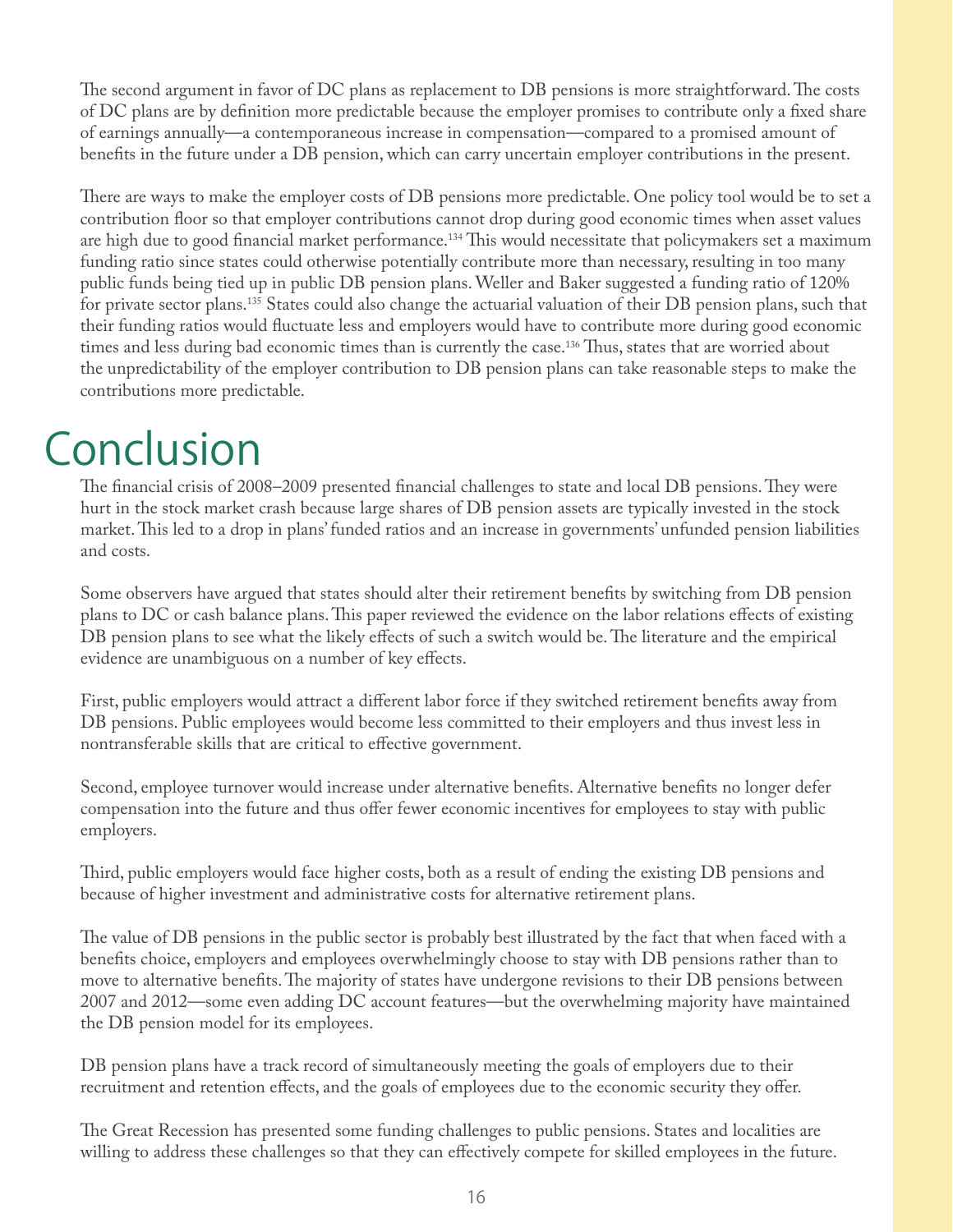The second argument in favor of DC plans as replacement to DB pensions is more straightforward. The costs of DC plans are by definition more predictable because the employer promises to contribute only a fixed share of earnings annually—a contemporaneous increase in compensation—compared to a promised amount of benefits in the future under a DB pension, which can carry uncertain employer contributions in the present.

There are ways to make the employer costs of DB pensions more predictable. One policy tool would be to set a contribution floor so that employer contributions cannot drop during good economic times when asset values are high due to good financial market performance.<sup>134</sup> This would necessitate that policymakers set a maximum funding ratio since states could otherwise potentially contribute more than necessary, resulting in too many public funds being tied up in public DB pension plans. Weller and Baker suggested a funding ratio of 120% for private sector plans.135 States could also change the actuarial valuation of their DB pension plans, such that their funding ratios would fluctuate less and employers would have to contribute more during good economic times and less during bad economic times than is currently the case.<sup>136</sup> Thus, states that are worried about the unpredictability of the employer contribution to DB pension plans can take reasonable steps to make the contributions more predictable.

### Conclusion

The financial crisis of 2008–2009 presented financial challenges to state and local DB pensions. They were hurt in the stock market crash because large shares of DB pension assets are typically invested in the stock market. This led to a drop in plans' funded ratios and an increase in governments' unfunded pension liabilities and costs.

Some observers have argued that states should alter their retirement benefits by switching from DB pension plans to DC or cash balance plans. This paper reviewed the evidence on the labor relations effects of existing DB pension plans to see what the likely effects of such a switch would be. The literature and the empirical evidence are unambiguous on a number of key effects.

First, public employers would attract a different labor force if they switched retirement benefits away from DB pensions. Public employees would become less committed to their employers and thus invest less in nontransferable skills that are critical to effective government.

Second, employee turnover would increase under alternative benefits. Alternative benefits no longer defer compensation into the future and thus offer fewer economic incentives for employees to stay with public employers.

Third, public employers would face higher costs, both as a result of ending the existing DB pensions and because of higher investment and administrative costs for alternative retirement plans.

The value of DB pensions in the public sector is probably best illustrated by the fact that when faced with a benefits choice, employers and employees overwhelmingly choose to stay with DB pensions rather than to move to alternative benefits. The majority of states have undergone revisions to their DB pensions between 2007 and 2012—some even adding DC account features—but the overwhelming majority have maintained the DB pension model for its employees.

DB pension plans have a track record of simultaneously meeting the goals of employers due to their recruitment and retention effects, and the goals of employees due to the economic security they offer.

The Great Recession has presented some funding challenges to public pensions. States and localities are willing to address these challenges so that they can effectively compete for skilled employees in the future.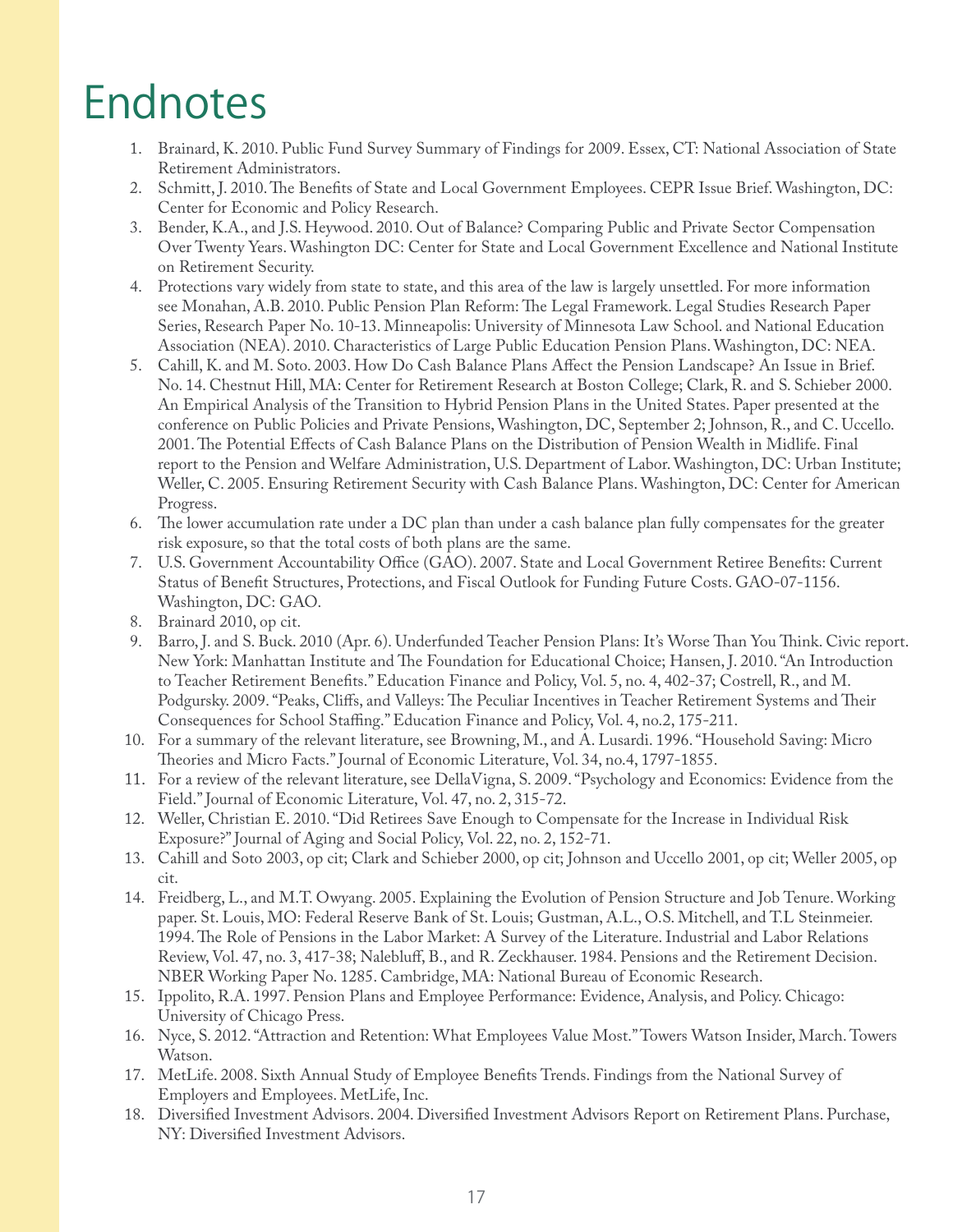### Endnotes

- 1. Brainard, K. 2010. Public Fund Survey Summary of Findings for 2009. Essex, CT: National Association of State Retirement Administrators.
- 2. Schmitt, J. 2010. The Benefits of State and Local Government Employees. CEPR Issue Brief. Washington, DC: Center for Economic and Policy Research.
- 3. Bender, K.A., and J.S. Heywood. 2010. Out of Balance? Comparing Public and Private Sector Compensation Over Twenty Years. Washington DC: Center for State and Local Government Excellence and National Institute on Retirement Security.
- 4. Protections vary widely from state to state, and this area of the law is largely unsettled. For more information see Monahan, A.B. 2010. Public Pension Plan Reform: The Legal Framework. Legal Studies Research Paper Series, Research Paper No. 10-13. Minneapolis: University of Minnesota Law School. and National Education Association (NEA). 2010. Characteristics of Large Public Education Pension Plans. Washington, DC: NEA.
- 5. Cahill, K. and M. Soto. 2003. How Do Cash Balance Plans A#ect the Pension Landscape? An Issue in Brief. No. 14. Chestnut Hill, MA: Center for Retirement Research at Boston College; Clark, R. and S. Schieber 2000. An Empirical Analysis of the Transition to Hybrid Pension Plans in the United States. Paper presented at the conference on Public Policies and Private Pensions, Washington, DC, September 2; Johnson, R., and C. Uccello. 2001. The Potential Effects of Cash Balance Plans on the Distribution of Pension Wealth in Midlife. Final report to the Pension and Welfare Administration, U.S. Department of Labor. Washington, DC: Urban Institute; Weller, C. 2005. Ensuring Retirement Security with Cash Balance Plans. Washington, DC: Center for American Progress.
- 6. The lower accumulation rate under a DC plan than under a cash balance plan fully compensates for the greater risk exposure, so that the total costs of both plans are the same.
- 7. U.S. Government Accountability Office (GAO). 2007. State and Local Government Retiree Benefits: Current Status of Benefit Structures, Protections, and Fiscal Outlook for Funding Future Costs. GAO-07-1156. Washington, DC: GAO.
- 8. Brainard 2010, op cit.
- 9. Barro, J. and S. Buck. 2010 (Apr. 6). Underfunded Teacher Pension Plans: It's Worse Than You Think. Civic report. New York: Manhattan Institute and The Foundation for Educational Choice; Hansen, J. 2010. "An Introduction to Teacher Retirement Benefits." Education Finance and Policy, Vol. 5, no. 4, 402-37; Costrell, R., and M. Podgursky. 2009. "Peaks, Cliffs, and Valleys: The Peculiar Incentives in Teacher Retirement Systems and Their Consequences for School Staffing." Education Finance and Policy, Vol. 4, no.2, 175-211.
- 10. For a summary of the relevant literature, see Browning, M., and A. Lusardi. 1996. "Household Saving: Micro Theories and Micro Facts." Journal of Economic Literature, Vol. 34, no.4, 1797-1855.
- 11. For a review of the relevant literature, see DellaVigna, S. 2009. "Psychology and Economics: Evidence from the Field." Journal of Economic Literature, Vol. 47, no. 2, 315-72.
- 12. Weller, Christian E. 2010. "Did Retirees Save Enough to Compensate for the Increase in Individual Risk Exposure?" Journal of Aging and Social Policy, Vol. 22, no. 2, 152-71.
- 13. Cahill and Soto 2003, op cit; Clark and Schieber 2000, op cit; Johnson and Uccello 2001, op cit; Weller 2005, op cit.
- 14. Freidberg, L., and M.T. Owyang. 2005. Explaining the Evolution of Pension Structure and Job Tenure. Working paper. St. Louis, MO: Federal Reserve Bank of St. Louis; Gustman, A.L., O.S. Mitchell, and T.L Steinmeier. 1994. The Role of Pensions in the Labor Market: A Survey of the Literature. Industrial and Labor Relations Review, Vol. 47, no. 3, 417-38; Nalebluff, B., and R. Zeckhauser. 1984. Pensions and the Retirement Decision. NBER Working Paper No. 1285. Cambridge, MA: National Bureau of Economic Research.
- 15. Ippolito, R.A. 1997. Pension Plans and Employee Performance: Evidence, Analysis, and Policy. Chicago: University of Chicago Press.
- 16. Nyce, S. 2012. "Attraction and Retention: What Employees Value Most." Towers Watson Insider, March. Towers Watson.
- 17. MetLife. 2008. Sixth Annual Study of Employee Benefits Trends. Findings from the National Survey of Employers and Employees. MetLife, Inc.
- 18. Diversified Investment Advisors. 2004. Diversified Investment Advisors Report on Retirement Plans. Purchase, NY: Diversified Investment Advisors.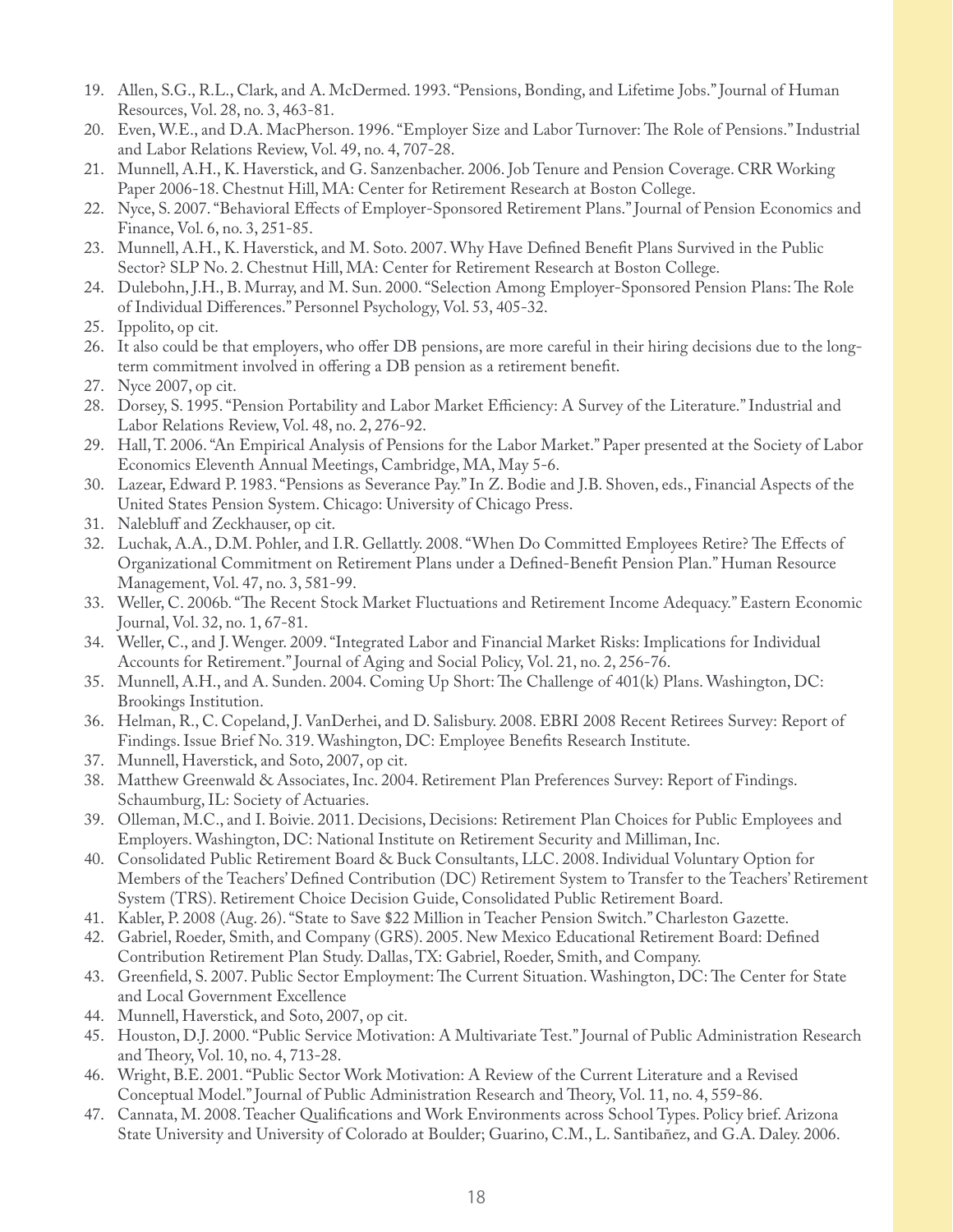- 19. Allen, S.G., R.L., Clark, and A. McDermed. 1993. "Pensions, Bonding, and Lifetime Jobs." Journal of Human Resources, Vol. 28, no. 3, 463-81.
- 20. Even, W.E., and D.A. MacPherson. 1996. "Employer Size and Labor Turnover: The Role of Pensions." Industrial and Labor Relations Review, Vol. 49, no. 4, 707-28.
- 21. Munnell, A.H., K. Haverstick, and G. Sanzenbacher. 2006. Job Tenure and Pension Coverage. CRR Working Paper 2006-18. Chestnut Hill, MA: Center for Retirement Research at Boston College.
- 22. Nyce, S. 2007. "Behavioral Effects of Employer-Sponsored Retirement Plans." Journal of Pension Economics and Finance, Vol. 6, no. 3, 251-85.
- 23. Munnell, A.H., K. Haverstick, and M. Soto. 2007. Why Have Defined Benefit Plans Survived in the Public Sector? SLP No. 2. Chestnut Hill, MA: Center for Retirement Research at Boston College.
- 24. Dulebohn, J.H., B. Murray, and M. Sun. 2000. "Selection Among Employer-Sponsored Pension Plans: The Role of Individual Differences." Personnel Psychology, Vol. 53, 405-32.
- 25. Ippolito, op cit.
- 26. It also could be that employers, who offer DB pensions, are more careful in their hiring decisions due to the longterm commitment involved in offering a DB pension as a retirement benefit.
- 27. Nyce 2007, op cit.
- 28. Dorsey, S. 1995. "Pension Portability and Labor Market Efficiency: A Survey of the Literature." Industrial and Labor Relations Review, Vol. 48, no. 2, 276-92.
- 29. Hall, T. 2006. "An Empirical Analysis of Pensions for the Labor Market." Paper presented at the Society of Labor Economics Eleventh Annual Meetings, Cambridge, MA, May 5-6.
- 30. Lazear, Edward P. 1983. "Pensions as Severance Pay." In Z. Bodie and J.B. Shoven, eds., Financial Aspects of the United States Pension System. Chicago: University of Chicago Press.
- 31. Nalebluff and Zeckhauser, op cit.
- 32. Luchak, A.A., D.M. Pohler, and I.R. Gellattly. 2008. "When Do Committed Employees Retire? The Effects of Organizational Commitment on Retirement Plans under a Defined-Benefit Pension Plan." Human Resource Management, Vol. 47, no. 3, 581-99.
- 33. Weller, C. 2006b. "The Recent Stock Market Fluctuations and Retirement Income Adequacy." Eastern Economic Journal, Vol. 32, no. 1, 67-81.
- 34. Weller, C., and J. Wenger. 2009. "Integrated Labor and Financial Market Risks: Implications for Individual Accounts for Retirement." Journal of Aging and Social Policy, Vol. 21, no. 2, 256-76.
- 35. Munnell, A.H., and A. Sunden. 2004. Coming Up Short: The Challenge of 401(k) Plans. Washington, DC: Brookings Institution.
- 36. Helman, R., C. Copeland, J. VanDerhei, and D. Salisbury. 2008. EBRI 2008 Recent Retirees Survey: Report of Findings. Issue Brief No. 319. Washington, DC: Employee Benefits Research Institute.
- 37. Munnell, Haverstick, and Soto, 2007, op cit.
- 38. Matthew Greenwald & Associates, Inc. 2004. Retirement Plan Preferences Survey: Report of Findings. Schaumburg, IL: Society of Actuaries.
- 39. Olleman, M.C., and I. Boivie. 2011. Decisions, Decisions: Retirement Plan Choices for Public Employees and Employers. Washington, DC: National Institute on Retirement Security and Milliman, Inc.
- 40. Consolidated Public Retirement Board & Buck Consultants, LLC. 2008. Individual Voluntary Option for Members of the Teachers' Defined Contribution (DC) Retirement System to Transfer to the Teachers' Retirement System (TRS). Retirement Choice Decision Guide, Consolidated Public Retirement Board.
- 41. Kabler, P. 2008 (Aug. 26). "State to Save \$22 Million in Teacher Pension Switch." Charleston Gazette.
- 42. Gabriel, Roeder, Smith, and Company (GRS). 2005. New Mexico Educational Retirement Board: Defined Contribution Retirement Plan Study. Dallas, TX: Gabriel, Roeder, Smith, and Company.
- 43. Greenfield, S. 2007. Public Sector Employment: The Current Situation. Washington, DC: The Center for State and Local Government Excellence
- 44. Munnell, Haverstick, and Soto, 2007, op cit.
- 45. Houston, D.J. 2000. "Public Service Motivation: A Multivariate Test." Journal of Public Administration Research and Theory, Vol. 10, no. 4, 713-28.
- 46. Wright, B.E. 2001. "Public Sector Work Motivation: A Review of the Current Literature and a Revised Conceptual Model." Journal of Public Administration Research and Theory, Vol. 11, no. 4, 559-86.
- 47. Cannata, M. 2008. Teacher Qualifications and Work Environments across School Types. Policy brief. Arizona State University and University of Colorado at Boulder; Guarino, C.M., L. Santibañez, and G.A. Daley. 2006.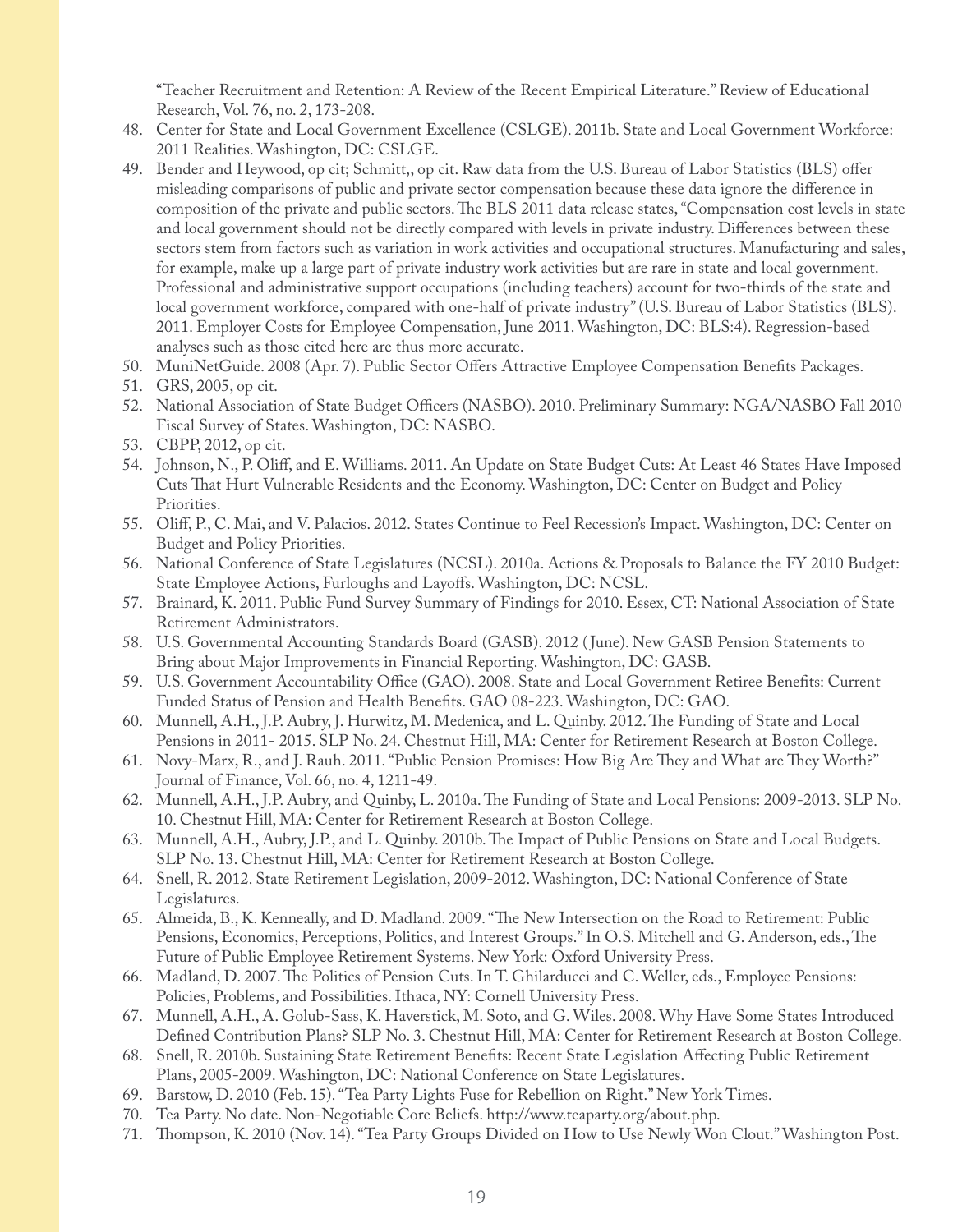"Teacher Recruitment and Retention: A Review of the Recent Empirical Literature." Review of Educational Research, Vol. 76, no. 2, 173-208.

- 48. Center for State and Local Government Excellence (CSLGE). 2011b. State and Local Government Workforce: 2011 Realities. Washington, DC: CSLGE.
- 49. Bender and Heywood, op cit; Schmitt,, op cit. Raw data from the U.S. Bureau of Labor Statistics (BLS) offer misleading comparisons of public and private sector compensation because these data ignore the difference in composition of the private and public sectors. The BLS 2011 data release states, "Compensation cost levels in state and local government should not be directly compared with levels in private industry. Differences between these sectors stem from factors such as variation in work activities and occupational structures. Manufacturing and sales, for example, make up a large part of private industry work activities but are rare in state and local government. Professional and administrative support occupations (including teachers) account for two-thirds of the state and local government workforce, compared with one-half of private industry" (U.S. Bureau of Labor Statistics (BLS). 2011. Employer Costs for Employee Compensation, June 2011. Washington, DC: BLS:4). Regression-based analyses such as those cited here are thus more accurate.
- 50. MuniNetGuide. 2008 (Apr. 7). Public Sector Offers Attractive Employee Compensation Benefits Packages.
- 51. GRS, 2005, op cit.
- 52. National Association of State Budget Officers (NASBO). 2010. Preliminary Summary: NGA/NASBO Fall 2010 Fiscal Survey of States. Washington, DC: NASBO.
- 53. CBPP, 2012, op cit.
- 54. Johnson, N., P. Oli#, and E. Williams. 2011. An Update on State Budget Cuts: At Least 46 States Have Imposed Cuts That Hurt Vulnerable Residents and the Economy. Washington, DC: Center on Budget and Policy Priorities.
- 55. Oli#, P., C. Mai, and V. Palacios. 2012. States Continue to Feel Recession's Impact. Washington, DC: Center on Budget and Policy Priorities.
- 56. National Conference of State Legislatures (NCSL). 2010a. Actions & Proposals to Balance the FY 2010 Budget: State Employee Actions, Furloughs and Layoffs. Washington, DC: NCSL.
- 57. Brainard, K. 2011. Public Fund Survey Summary of Findings for 2010. Essex, CT: National Association of State Retirement Administrators.
- 58. U.S. Governmental Accounting Standards Board (GASB). 2012 ( June). New GASB Pension Statements to Bring about Major Improvements in Financial Reporting. Washington, DC: GASB.
- 59. U.S. Government Accountability Office (GAO). 2008. State and Local Government Retiree Benefits: Current Funded Status of Pension and Health Benefits. GAO 08-223. Washington, DC: GAO.
- 60. Munnell, A.H., J.P. Aubry, J. Hurwitz, M. Medenica, and L. Quinby. 2012. The Funding of State and Local Pensions in 2011- 2015. SLP No. 24. Chestnut Hill, MA: Center for Retirement Research at Boston College.
- 61. Novy-Marx, R., and J. Rauh. 2011. "Public Pension Promises: How Big Are They and What are They Worth?" Journal of Finance, Vol. 66, no. 4, 1211-49.
- 62. Munnell, A.H., J.P. Aubry, and Quinby, L. 2010a. The Funding of State and Local Pensions: 2009-2013. SLP No. 10. Chestnut Hill, MA: Center for Retirement Research at Boston College.
- 63. Munnell, A.H., Aubry, J.P., and L. Quinby. 2010b. "e Impact of Public Pensions on State and Local Budgets. SLP No. 13. Chestnut Hill, MA: Center for Retirement Research at Boston College.
- 64. Snell, R. 2012. State Retirement Legislation, 2009-2012. Washington, DC: National Conference of State Legislatures.
- 65. Almeida, B., K. Kenneally, and D. Madland. 2009. "The New Intersection on the Road to Retirement: Public Pensions, Economics, Perceptions, Politics, and Interest Groups." In O.S. Mitchell and G. Anderson, eds., The Future of Public Employee Retirement Systems. New York: Oxford University Press.
- 66. Madland, D. 2007. The Politics of Pension Cuts. In T. Ghilarducci and C. Weller, eds., Employee Pensions: Policies, Problems, and Possibilities. Ithaca, NY: Cornell University Press.
- 67. Munnell, A.H., A. Golub-Sass, K. Haverstick, M. Soto, and G. Wiles. 2008. Why Have Some States Introduced Defined Contribution Plans? SLP No. 3. Chestnut Hill, MA: Center for Retirement Research at Boston College.
- 68. Snell, R. 2010b. Sustaining State Retirement Benefits: Recent State Legislation Affecting Public Retirement Plans, 2005-2009. Washington, DC: National Conference on State Legislatures.
- 69. Barstow, D. 2010 (Feb. 15). "Tea Party Lights Fuse for Rebellion on Right." New York Times.
- 70. Tea Party. No date. Non-Negotiable Core Beliefs. http://www.teaparty.org/about.php.
- 71. Thompson, K. 2010 (Nov. 14). "Tea Party Groups Divided on How to Use Newly Won Clout." Washington Post.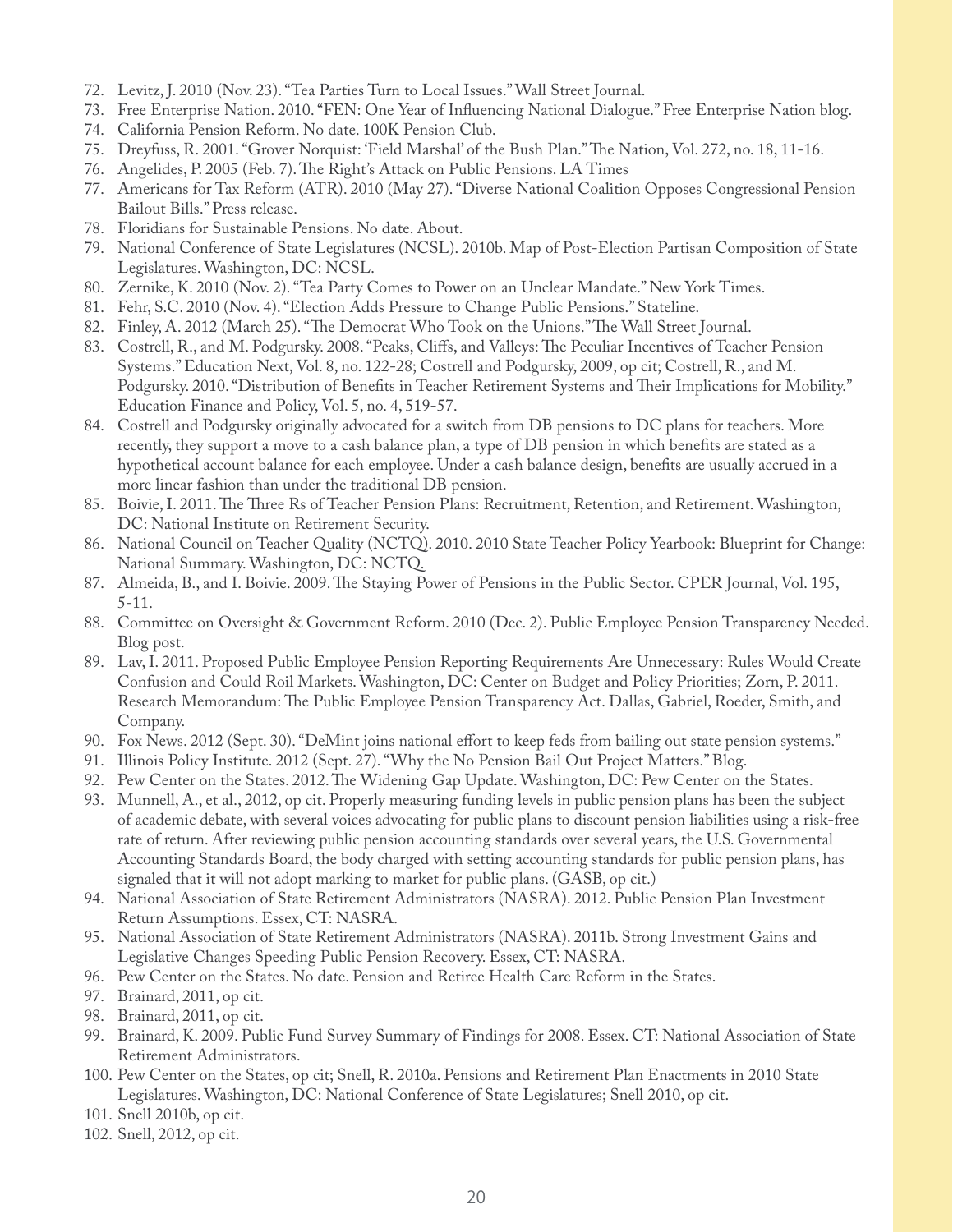- 72. Levitz, J. 2010 (Nov. 23). "Tea Parties Turn to Local Issues." Wall Street Journal.
- 73. Free Enterprise Nation. 2010. "FEN: One Year of Influencing National Dialogue." Free Enterprise Nation blog.
- 74. California Pension Reform. No date. 100K Pension Club.
- 75. Dreyfuss, R. 2001. "Grover Norquist: 'Field Marshal' of the Bush Plan." The Nation, Vol. 272, no. 18, 11-16.
- 76. Angelides, P. 2005 (Feb. 7). The Right's Attack on Public Pensions. LA Times
- 77. Americans for Tax Reform (ATR). 2010 (May 27). "Diverse National Coalition Opposes Congressional Pension Bailout Bills." Press release.
- 78. Floridians for Sustainable Pensions. No date. About.
- 79. National Conference of State Legislatures (NCSL). 2010b. Map of Post-Election Partisan Composition of State Legislatures. Washington, DC: NCSL.
- 80. Zernike, K. 2010 (Nov. 2). "Tea Party Comes to Power on an Unclear Mandate." New York Times.
- 81. Fehr, S.C. 2010 (Nov. 4). "Election Adds Pressure to Change Public Pensions." Stateline.
- 82. Finley, A. 2012 (March 25). "The Democrat Who Took on the Unions." The Wall Street Journal.
- 83. Costrell, R., and M. Podgursky. 2008. "Peaks, Cliffs, and Valleys: The Peculiar Incentives of Teacher Pension Systems." Education Next, Vol. 8, no. 122-28; Costrell and Podgursky, 2009, op cit; Costrell, R., and M. Podgursky. 2010. "Distribution of Benefits in Teacher Retirement Systems and Their Implications for Mobility." Education Finance and Policy, Vol. 5, no. 4, 519-57.
- 84. Costrell and Podgursky originally advocated for a switch from DB pensions to DC plans for teachers. More recently, they support a move to a cash balance plan, a type of DB pension in which benefits are stated as a hypothetical account balance for each employee. Under a cash balance design, benefits are usually accrued in a more linear fashion than under the traditional DB pension.
- 85. Boivie, I. 2011. The Three Rs of Teacher Pension Plans: Recruitment, Retention, and Retirement. Washington, DC: National Institute on Retirement Security.
- 86. National Council on Teacher Quality (NCTQ). 2010. 2010 State Teacher Policy Yearbook: Blueprint for Change: National Summary. Washington, DC: NCTQ.
- 87. Almeida, B., and I. Boivie. 2009. The Staying Power of Pensions in the Public Sector. CPER Journal, Vol. 195, 5-11.
- 88. Committee on Oversight & Government Reform. 2010 (Dec. 2). Public Employee Pension Transparency Needed. Blog post.
- 89. Lav, I. 2011. Proposed Public Employee Pension Reporting Requirements Are Unnecessary: Rules Would Create Confusion and Could Roil Markets. Washington, DC: Center on Budget and Policy Priorities; Zorn, P. 2011. Research Memorandum: The Public Employee Pension Transparency Act. Dallas, Gabriel, Roeder, Smith, and Company.
- 90. Fox News. 2012 (Sept. 30). "DeMint joins national effort to keep feds from bailing out state pension systems."
- 91. Illinois Policy Institute. 2012 (Sept. 27). "Why the No Pension Bail Out Project Matters." Blog.
- 92. Pew Center on the States. 2012. The Widening Gap Update. Washington, DC: Pew Center on the States.
- 93. Munnell, A., et al., 2012, op cit. Properly measuring funding levels in public pension plans has been the subject of academic debate, with several voices advocating for public plans to discount pension liabilities using a risk-free rate of return. After reviewing public pension accounting standards over several years, the U.S. Governmental Accounting Standards Board, the body charged with setting accounting standards for public pension plans, has signaled that it will not adopt marking to market for public plans. (GASB, op cit.)
- 94. National Association of State Retirement Administrators (NASRA). 2012. Public Pension Plan Investment Return Assumptions. Essex, CT: NASRA.
- 95. National Association of State Retirement Administrators (NASRA). 2011b. Strong Investment Gains and Legislative Changes Speeding Public Pension Recovery. Essex, CT: NASRA.
- 96. Pew Center on the States. No date. Pension and Retiree Health Care Reform in the States.
- 97. Brainard, 2011, op cit.
- 98. Brainard, 2011, op cit.
- 99. Brainard, K. 2009. Public Fund Survey Summary of Findings for 2008. Essex. CT: National Association of State Retirement Administrators.
- 100. Pew Center on the States, op cit; Snell, R. 2010a. Pensions and Retirement Plan Enactments in 2010 State Legislatures. Washington, DC: National Conference of State Legislatures; Snell 2010, op cit.
- 101. Snell 2010b, op cit.
- 102. Snell, 2012, op cit.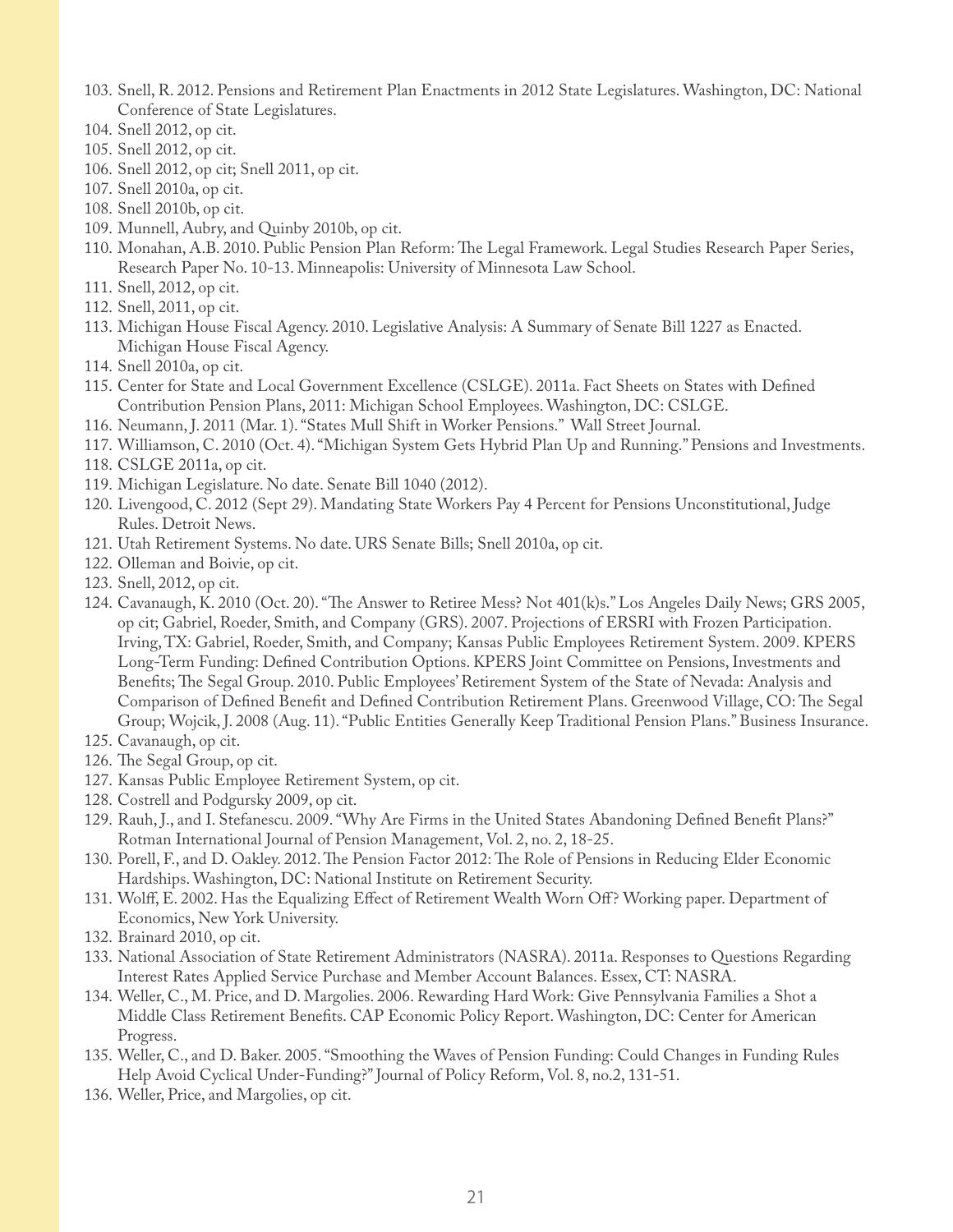- 103. Snell, R. 2012. Pensions and Retirement Plan Enactments in 2012 State Legislatures. Washington, DC: National Conference of State Legislatures.
- 104. Snell 2012, op cit.
- 105. Snell 2012, op cit.
- 106. Snell 2012, op cit; Snell 2011, op cit.
- 107. Snell 2010a, op cit.
- 108. Snell 2010b, op cit.
- 109. Munnell, Aubry, and Quinby 2010b, op cit.
- 110. Monahan, A.B. 2010. Public Pension Plan Reform: The Legal Framework. Legal Studies Research Paper Series, Research Paper No. 10-13. Minneapolis: University of Minnesota Law School.
- 111. Snell, 2012, op cit.
- 112. Snell, 2011, op cit.
- 113. Michigan House Fiscal Agency. 2010. Legislative Analysis: A Summary of Senate Bill 1227 as Enacted. Michigan House Fiscal Agency.
- 114. Snell 2010a, op cit.
- 115. Center for State and Local Government Excellence (CSLGE). 2011a. Fact Sheets on States with Defined Contribution Pension Plans, 2011: Michigan School Employees. Washington, DC: CSLGE.
- 116. Neumann, J. 2011 (Mar. 1). "States Mull Shift in Worker Pensions." Wall Street Journal.
- 117. Williamson, C. 2010 (Oct. 4). "Michigan System Gets Hybrid Plan Up and Running." Pensions and Investments.
- 118. CSLGE 2011a, op cit.
- 119. Michigan Legislature. No date. Senate Bill 1040 (2012).
- 120. Livengood, C. 2012 (Sept 29). Mandating State Workers Pay 4 Percent for Pensions Unconstitutional, Judge Rules. Detroit News.
- 121. Utah Retirement Systems. No date. URS Senate Bills; Snell 2010a, op cit.
- 122. Olleman and Boivie, op cit.
- 123. Snell, 2012, op cit.
- 124. Cavanaugh, K. 2010 (Oct. 20). "The Answer to Retiree Mess? Not 401(k)s." Los Angeles Daily News; GRS 2005, op cit; Gabriel, Roeder, Smith, and Company (GRS). 2007. Projections of ERSRI with Frozen Participation. Irving, TX: Gabriel, Roeder, Smith, and Company; Kansas Public Employees Retirement System. 2009. KPERS Long-Term Funding: Defined Contribution Options. KPERS Joint Committee on Pensions, Investments and Benefits; The Segal Group. 2010. Public Employees' Retirement System of the State of Nevada: Analysis and Comparison of Defined Benefit and Defined Contribution Retirement Plans. Greenwood Village, CO: The Segal Group; Wojcik, J. 2008 (Aug. 11). "Public Entities Generally Keep Traditional Pension Plans." Business Insurance.
- 125. Cavanaugh, op cit.
- 126. The Segal Group, op cit.
- 127. Kansas Public Employee Retirement System, op cit.
- 128. Costrell and Podgursky 2009, op cit.
- 129. Rauh, J., and I. Stefanescu. 2009. "Why Are Firms in the United States Abandoning Defined Benefit Plans?" Rotman International Journal of Pension Management, Vol. 2, no. 2, 18-25.
- 130. Porell, F., and D. Oakley. 2012. The Pension Factor 2012: The Role of Pensions in Reducing Elder Economic Hardships. Washington, DC: National Institute on Retirement Security.
- 131. Wolff, E. 2002. Has the Equalizing Effect of Retirement Wealth Worn Off? Working paper. Department of Economics, New York University.
- 132. Brainard 2010, op cit.
- 133. National Association of State Retirement Administrators (NASRA). 2011a. Responses to Questions Regarding Interest Rates Applied Service Purchase and Member Account Balances. Essex, CT: NASRA.
- 134. Weller, C., M. Price, and D. Margolies. 2006. Rewarding Hard Work: Give Pennsylvania Families a Shot a Middle Class Retirement Benefits. CAP Economic Policy Report. Washington, DC: Center for American Progress.
- 135. Weller, C., and D. Baker. 2005. "Smoothing the Waves of Pension Funding: Could Changes in Funding Rules Help Avoid Cyclical Under-Funding?" Journal of Policy Reform, Vol. 8, no.2, 131-51.
- 136. Weller, Price, and Margolies, op cit.